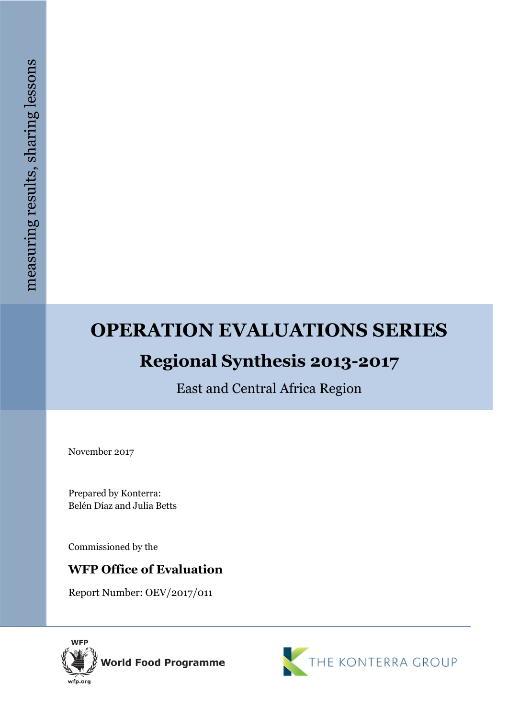# **OPERATION EVALUATIONS SERIES Regional Synthesis 2013-2017**

East and Central Africa Region

November 2017

Prepared by Konterra: Belén Díaz and Julia Betts

Commissioned by the

## **WFP Office of Evaluation**

Report Number: OEV/2017/011



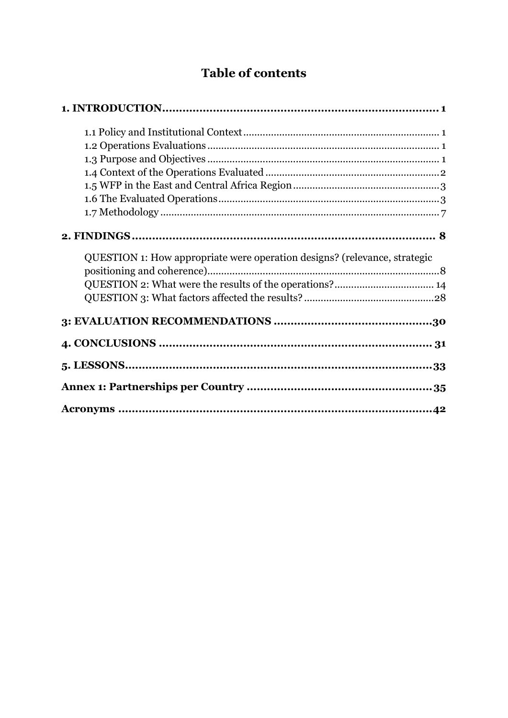# **Table of contents**

| QUESTION 1: How appropriate were operation designs? (relevance, strategic |  |
|---------------------------------------------------------------------------|--|
|                                                                           |  |
|                                                                           |  |
|                                                                           |  |
|                                                                           |  |
|                                                                           |  |
|                                                                           |  |
|                                                                           |  |
|                                                                           |  |
|                                                                           |  |
|                                                                           |  |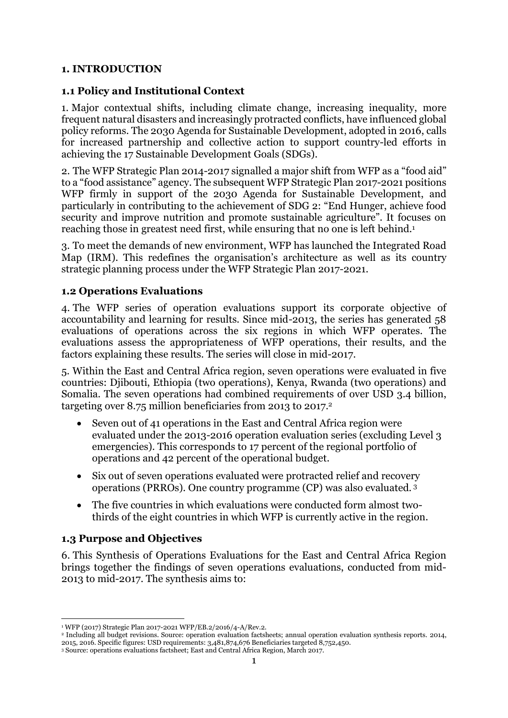#### <span id="page-2-0"></span>**1. INTRODUCTION**

#### <span id="page-2-1"></span>**1.1 Policy and Institutional Context**

1. Major contextual shifts, including climate change, increasing inequality, more frequent natural disasters and increasingly protracted conflicts, have influenced global policy reforms. The 2030 Agenda for Sustainable Development, adopted in 2016, calls for increased partnership and collective action to support country-led efforts in achieving the 17 Sustainable Development Goals (SDGs).

2. The WFP Strategic Plan 2014-2017 signalled a major shift from WFP as a "food aid" to a "food assistance" agency. The subsequent WFP Strategic Plan 2017-2021 positions WFP firmly in support of the 2030 Agenda for Sustainable Development, and particularly in contributing to the achievement of SDG 2: "End Hunger, achieve food security and improve nutrition and promote sustainable agriculture". It focuses on reaching those in greatest need first, while ensuring that no one is left behind.<sup>1</sup>

3. To meet the demands of new environment, WFP has launched the Integrated Road Map (IRM). This redefines the organisation's architecture as well as its country strategic planning process under the WFP Strategic Plan 2017-2021.

#### <span id="page-2-2"></span>**1.2 Operations Evaluations**

4. The WFP series of operation evaluations support its corporate objective of accountability and learning for results. Since mid-2013, the series has generated 58 evaluations of operations across the six regions in which WFP operates. The evaluations assess the appropriateness of WFP operations, their results, and the factors explaining these results. The series will close in mid-2017.

5. Within the East and Central Africa region, seven operations were evaluated in five countries: Djibouti, Ethiopia (two operations), Kenya, Rwanda (two operations) and Somalia. The seven operations had combined requirements of over USD 3.4 billion, targeting over 8.75 million beneficiaries from 2013 to 2017.<sup>2</sup>

- Seven out of 41 operations in the East and Central Africa region were evaluated under the 2013-2016 operation evaluation series (excluding Level 3 emergencies). This corresponds to 17 percent of the regional portfolio of operations and 42 percent of the operational budget.
- Six out of seven operations evaluated were protracted relief and recovery operations (PRROs). One country programme (CP) was also evaluated. <sup>3</sup>
- The five countries in which evaluations were conducted form almost twothirds of the eight countries in which WFP is currently active in the region.

#### <span id="page-2-3"></span>**1.3 Purpose and Objectives**

6. This Synthesis of Operations Evaluations for the East and Central Africa Region brings together the findings of seven operations evaluations, conducted from mid-2013 to mid-2017. The synthesis aims to:

<sup>1</sup> <sup>1</sup> WFP (2017) Strategic Plan 2017-2021 WFP/EB.2/2016/4-A/Rev.2.

<sup>2</sup> Including all budget revisions. Source: operation evaluation factsheets; annual operation evaluation synthesis reports. 2014, 2015, 2016. Specific figures: USD requirements: 3,481,874,676 Beneficiaries targeted 8,752,450.

<sup>3</sup> Source: operations evaluations factsheet; East and Central Africa Region, March 2017.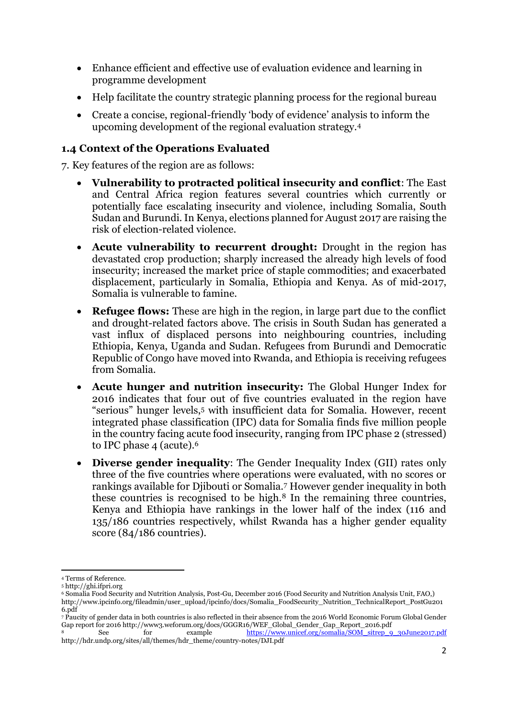- Enhance efficient and effective use of evaluation evidence and learning in programme development
- Help facilitate the country strategic planning process for the regional bureau
- Create a concise, regional-friendly 'body of evidence' analysis to inform the upcoming development of the regional evaluation strategy.<sup>4</sup>

## <span id="page-3-0"></span>**1.4 Context of the Operations Evaluated**

7. Key features of the region are as follows:

- **Vulnerability to protracted political insecurity and conflict**: The East and Central Africa region features several countries which currently or potentially face escalating insecurity and violence, including Somalia, South Sudan and Burundi. In Kenya, elections planned for August 2017 are raising the risk of election-related violence.
- **Acute vulnerability to recurrent drought:** Drought in the region has devastated crop production; sharply increased the already high levels of food insecurity; increased the market price of staple commodities; and exacerbated displacement, particularly in Somalia, Ethiopia and Kenya. As of mid-2017, Somalia is vulnerable to famine.
- **Refugee flows:** These are high in the region, in large part due to the conflict and drought-related factors above. The crisis in South Sudan has generated a vast influx of displaced persons into neighbouring countries, including Ethiopia, Kenya, Uganda and Sudan. Refugees from Burundi and Democratic Republic of Congo have moved into Rwanda, and Ethiopia is receiving refugees from Somalia.
- **Acute hunger and nutrition insecurity:** The Global Hunger Index for 2016 indicates that four out of five countries evaluated in the region have "serious" hunger levels,<sup>5</sup> with insufficient data for Somalia. However, recent integrated phase classification (IPC) data for Somalia finds five million people in the country facing acute food insecurity, ranging from IPC phase 2 (stressed) to IPC phase 4 (acute).<sup>6</sup>
- **Diverse gender inequality**: The Gender Inequality Index (GII) rates only three of the five countries where operations were evaluated, with no scores or rankings available for Djibouti or Somalia.<sup>7</sup> However gender inequality in both these countries is recognised to be high.<sup>8</sup> In the remaining three countries, Kenya and Ethiopia have rankings in the lower half of the index (116 and 135/186 countries respectively, whilst Rwanda has a higher gender equality score (84/186 countries).

<sup>1</sup> <sup>4</sup> Terms of Reference.

<sup>5</sup> http://ghi.ifpri.org

<sup>6</sup> Somalia Food Security and Nutrition Analysis, Post-Gu, December 2016 (Food Security and Nutrition Analysis Unit, FAO,) http://www.ipcinfo.org/fileadmin/user\_upload/ipcinfo/docs/Somalia\_FoodSecurity\_Nutrition\_TechnicalReport\_PostGu201 6.pdf

<sup>7</sup> Paucity of gender data in both countries is also reflected in their absence from the 2016 World Economic Forum Global Gender Gap report for 2016 http://www3.weforum.org/docs/GGGR16/WEF\_Global\_Gender\_Gap\_Report\_2016.pdf<br>8 for example https://www.unicef.org/somalia/SOM\_sitrep\_9

See for example [https://www.unicef.org/somalia/SOM\\_sitrep\\_9\\_30June2017.pdf](https://www.unicef.org/somalia/SOM_sitrep_9_30June2017.pdf) http://hdr.undp.org/sites/all/themes/hdr\_theme/country-notes/DJI.pdf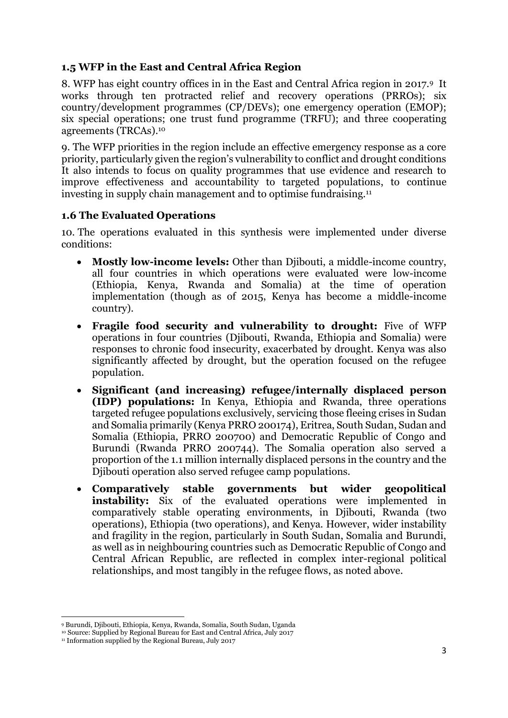## <span id="page-4-0"></span>**1.5 WFP in the East and Central Africa Region**

8. WFP has eight country offices in in the East and Central Africa region in 2017.9 It works through ten protracted relief and recovery operations (PRROs); six country/development programmes (CP/DEVs); one emergency operation (EMOP); six special operations; one trust fund programme (TRFU); and three cooperating agreements (TRCAs). 10

9. The WFP priorities in the region include an effective emergency response as a core priority, particularly given the region's vulnerability to conflict and drought conditions It also intends to focus on quality programmes that use evidence and research to improve effectiveness and accountability to targeted populations, to continue investing in supply chain management and to optimise fundraising.<sup>11</sup>

## <span id="page-4-1"></span>**1.6 The Evaluated Operations**

10. The operations evaluated in this synthesis were implemented under diverse conditions:

- **Mostly low-income levels:** Other than Djibouti, a middle-income country, all four countries in which operations were evaluated were low-income (Ethiopia, Kenya, Rwanda and Somalia) at the time of operation implementation (though as of 2015, Kenya has become a middle-income country).
- **Fragile food security and vulnerability to drought:** Five of WFP operations in four countries (Djibouti, Rwanda, Ethiopia and Somalia) were responses to chronic food insecurity, exacerbated by drought. Kenya was also significantly affected by drought, but the operation focused on the refugee population.
- **Significant (and increasing) refugee/internally displaced person (IDP) populations:** In Kenya, Ethiopia and Rwanda, three operations targeted refugee populations exclusively, servicing those fleeing crises in Sudan and Somalia primarily (Kenya PRRO 200174), Eritrea, South Sudan, Sudan and Somalia (Ethiopia, PRRO 200700) and Democratic Republic of Congo and Burundi (Rwanda PRRO 200744). The Somalia operation also served a proportion of the 1.1 million internally displaced persons in the country and the Djibouti operation also served refugee camp populations.
- **Comparatively stable governments but wider geopolitical instability:** Six of the evaluated operations were implemented in comparatively stable operating environments, in Djibouti, Rwanda (two operations), Ethiopia (two operations), and Kenya. However, wider instability and fragility in the region, particularly in South Sudan, Somalia and Burundi, as well as in neighbouring countries such as Democratic Republic of Congo and Central African Republic, are reflected in complex inter-regional political relationships, and most tangibly in the refugee flows, as noted above.

**<sup>.</sup>** <sup>9</sup> Burundi, Djibouti, Ethiopia, Kenya, Rwanda, Somalia, South Sudan, Uganda

<sup>&</sup>lt;sup>10</sup> Source: Supplied by Regional Bureau for East and Central Africa, July 2017

<sup>&</sup>lt;sup>11</sup> Information supplied by the Regional Bureau, July 2017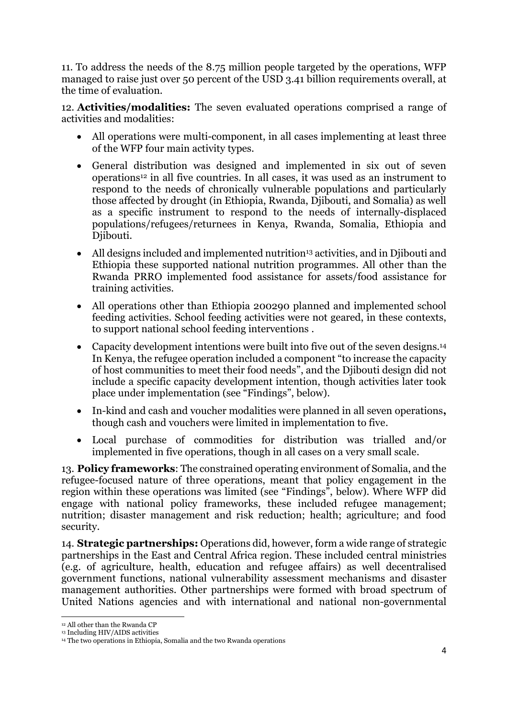11. To address the needs of the 8.75 million people targeted by the operations, WFP managed to raise just over 50 percent of the USD 3.41 billion requirements overall, at the time of evaluation.

12. **Activities/modalities:** The seven evaluated operations comprised a range of activities and modalities:

- All operations were multi-component, in all cases implementing at least three of the WFP four main activity types.
- General distribution was designed and implemented in six out of seven operations<sup>12</sup> in all five countries. In all cases, it was used as an instrument to respond to the needs of chronically vulnerable populations and particularly those affected by drought (in Ethiopia, Rwanda, Djibouti, and Somalia) as well as a specific instrument to respond to the needs of internally-displaced populations/refugees/returnees in Kenya, Rwanda, Somalia, Ethiopia and Djibouti.
- All designs included and implemented nutrition<sup>13</sup> activities, and in Djibouti and Ethiopia these supported national nutrition programmes. All other than the Rwanda PRRO implemented food assistance for assets/food assistance for training activities.
- All operations other than Ethiopia 200290 planned and implemented school feeding activities. School feeding activities were not geared, in these contexts, to support national school feeding interventions .
- Capacity development intentions were built into five out of the seven designs.<sup>14</sup> In Kenya, the refugee operation included a component "to increase the capacity of host communities to meet their food needs", and the Djibouti design did not include a specific capacity development intention, though activities later took place under implementation (see "Findings", below).
- In-kind and cash and voucher modalities were planned in all seven operations**,**  though cash and vouchers were limited in implementation to five.
- Local purchase of commodities for distribution was trialled and/or implemented in five operations, though in all cases on a very small scale.

13. **Policy frameworks**: The constrained operating environment of Somalia, and the refugee-focused nature of three operations, meant that policy engagement in the region within these operations was limited (see "Findings", below). Where WFP did engage with national policy frameworks, these included refugee management; nutrition; disaster management and risk reduction; health; agriculture; and food security.

14. **Strategic partnerships:** Operations did, however, form a wide range of strategic partnerships in the East and Central Africa region. These included central ministries (e.g. of agriculture, health, education and refugee affairs) as well decentralised government functions, national vulnerability assessment mechanisms and disaster management authorities. Other partnerships were formed with broad spectrum of United Nations agencies and with international and national non-governmental

**<sup>.</sup>** <sup>12</sup> All other than the Rwanda CP

<sup>13</sup> Including HIV/AIDS activities

<sup>&</sup>lt;sup>14</sup> The two operations in Ethiopia, Somalia and the two Rwanda operations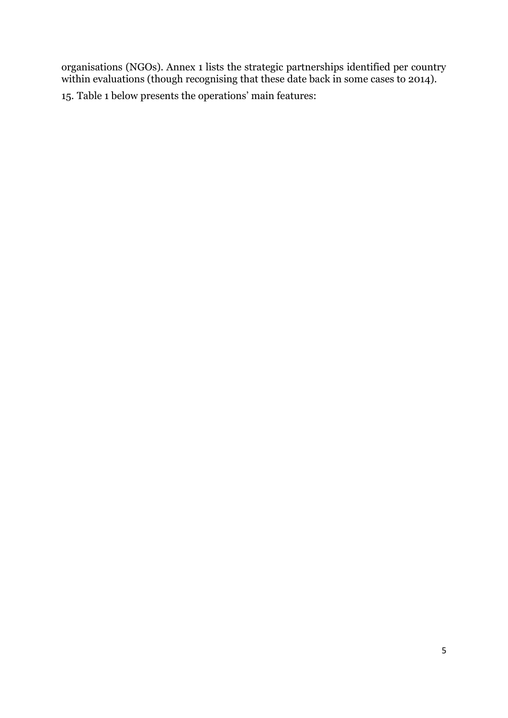organisations (NGOs). Annex 1 lists the strategic partnerships identified per country within evaluations (though recognising that these date back in some cases to 2014).

15. Table 1 below presents the operations' main features: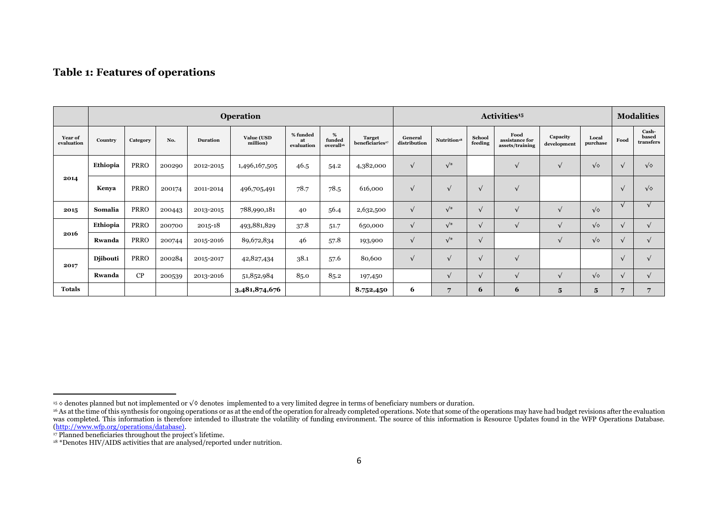#### **Table 1: Features of operations**

|                       | <b>Operation</b> |             |        |                 |                        |                              |                                         | Activities <sup>15</sup>                     |                         |                         |                   |                                           | <b>Modalities</b>       |                   |                |                             |
|-----------------------|------------------|-------------|--------|-----------------|------------------------|------------------------------|-----------------------------------------|----------------------------------------------|-------------------------|-------------------------|-------------------|-------------------------------------------|-------------------------|-------------------|----------------|-----------------------------|
| Year of<br>evaluation | Country          | Category    | No.    | <b>Duration</b> | Value (USD<br>million) | % funded<br>at<br>evaluation | $\%$<br>funded<br>overall <sup>16</sup> | <b>Target</b><br>beneficiaries <sup>17</sup> | General<br>distribution | Nutrition <sup>18</sup> | School<br>feeding | Food<br>assistance for<br>assets/training | Capacity<br>development | Local<br>purchase | Food           | Cash-<br>based<br>transfers |
|                       | Ethiopia         | <b>PRRO</b> | 200290 | 2012-2015       | 1,496,167,505          | 46.5                         | 54.2                                    | 4,382,000                                    | $\sqrt{ }$              | $\sqrt{\ast}$           |                   | $\sqrt{ }$                                |                         | $\sqrt{\diamond}$ | $\sqrt{ }$     | $\sqrt{\diamond}$           |
| 2014                  | Kenya            | <b>PRRO</b> | 200174 | 2011-2014       | 496,705,491            | 78.7                         | 78.5                                    | 616,000                                      | $\sqrt{ }$              | $\sqrt{ }$              | $\sqrt{ }$        | $\sqrt{ }$                                |                         |                   |                | $\sqrt{\diamond}$           |
| 2015                  | Somalia          | <b>PRRO</b> | 200443 | 2013-2015       | 788,990,181            | 40                           | 56.4                                    | 2,632,500                                    | $\sqrt{}$               | $\sqrt{\ast}$           | $\sqrt{ }$        | $\sqrt{ }$                                |                         | $\sqrt{\diamond}$ |                |                             |
|                       | Ethiopia         | <b>PRRO</b> | 200700 | 2015-18         | 493,881,829            | 37.8                         | 51.7                                    | 650,000                                      |                         | $\sqrt{*}$              | $\sqrt{ }$        |                                           |                         | $\sqrt{\diamond}$ |                | $\sqrt{ }$                  |
| 2016                  | Rwanda           | <b>PRRO</b> | 200744 | 2015-2016       | 89,672,834             | 46                           | 57.8                                    | 193,900                                      | $\sqrt{}$               | $\sqrt{\ast}$           | $\sqrt{ }$        |                                           |                         | $\sqrt{\diamond}$ |                | $\sqrt{ }$                  |
| 2017                  | <b>Djibouti</b>  | <b>PRRO</b> | 200284 | 2015-2017       | 42,827,434             | 38.1                         | 57.6                                    | 80,600                                       | $\sqrt{ }$              | $\sqrt{ }$              | $\sqrt{ }$        | $\sqrt{ }$                                |                         |                   |                | $\sqrt{ }$                  |
|                       | Rwanda           | CP          | 200539 | 2013-2016       | 51,852,984             | 85.0                         | 85.2                                    | 197,450                                      |                         | $\sqrt{ }$              | $\sqrt{ }$        | $\sqrt{ }$                                | $\mathbf{v}$            | $\sqrt{\diamond}$ |                | $\sqrt{ }$                  |
| <b>Totals</b>         |                  |             |        |                 | 3,481,874,676          |                              |                                         | 8.752,450                                    | 6                       | $7\overline{ }$         | 6                 | 6                                         | 5                       | $5\phantom{.0}$   | $\overline{7}$ | 7                           |

 $\overline{a}$ 

<sup>15</sup> ◊ denotes planned but not implemented or √♢ denotes implemented to a very limited degree in terms of beneficiary numbers or duration.

<sup>&</sup>lt;sup>16</sup> As at the time of this synthesis for ongoing operations or as at the end of the operation for already completed operations. Note that some of the operations may have had budget revisions after the evaluation interacti was completed. This information is therefore intended to illustrate the volatility of funding environment. The source of this information is Resource Updates found in the WFP Operations Database. [\(http://www.wfp.org/operations/database\).](http://www.wfp.org/operations/database))

<sup>&</sup>lt;sup>17</sup> Planned beneficiaries throughout the project's lifetime.

<sup>&</sup>lt;sup>18</sup> \*Denotes HIV/AIDS activities that are analysed/reported under nutrition.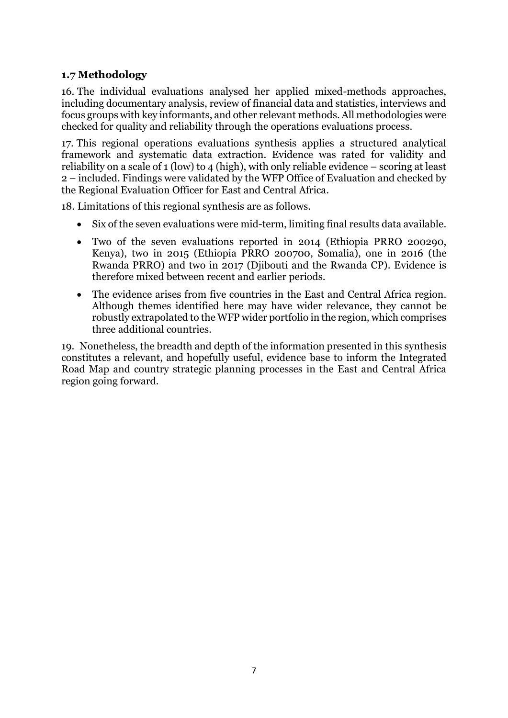## <span id="page-8-0"></span>**1.7 Methodology**

16. The individual evaluations analysed her applied mixed-methods approaches, including documentary analysis, review of financial data and statistics, interviews and focus groups with key informants, and other relevant methods. All methodologies were checked for quality and reliability through the operations evaluations process.

17. This regional operations evaluations synthesis applies a structured analytical framework and systematic data extraction. Evidence was rated for validity and reliability on a scale of 1 (low) to 4 (high), with only reliable evidence – scoring at least 2 – included. Findings were validated by the WFP Office of Evaluation and checked by the Regional Evaluation Officer for East and Central Africa.

18. Limitations of this regional synthesis are as follows.

- Six of the seven evaluations were mid-term, limiting final results data available.
- Two of the seven evaluations reported in 2014 (Ethiopia PRRO 200290, Kenya), two in 2015 (Ethiopia PRRO 200700, Somalia), one in 2016 (the Rwanda PRRO) and two in 2017 (Djibouti and the Rwanda CP). Evidence is therefore mixed between recent and earlier periods.
- The evidence arises from five countries in the East and Central Africa region. Although themes identified here may have wider relevance, they cannot be robustly extrapolated to the WFP wider portfolio in the region, which comprises three additional countries.

19. Nonetheless, the breadth and depth of the information presented in this synthesis constitutes a relevant, and hopefully useful, evidence base to inform the Integrated Road Map and country strategic planning processes in the East and Central Africa region going forward.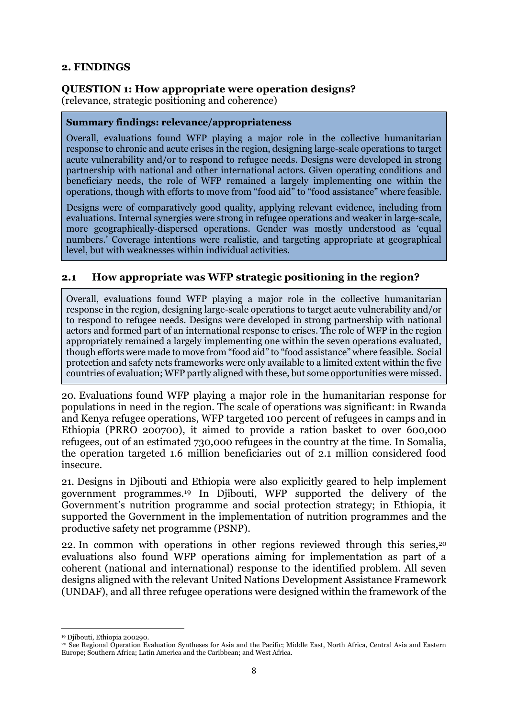#### <span id="page-9-0"></span>**2. FINDINGS**

#### <span id="page-9-1"></span>**QUESTION 1: How appropriate were operation designs?**

(relevance, strategic positioning and coherence)

#### **Summary findings: relevance/appropriateness**

Overall, evaluations found WFP playing a major role in the collective humanitarian response to chronic and acute crises in the region, designing large-scale operations to target acute vulnerability and/or to respond to refugee needs. Designs were developed in strong partnership with national and other international actors. Given operating conditions and beneficiary needs, the role of WFP remained a largely implementing one within the operations, though with efforts to move from "food aid" to "food assistance" where feasible.

Designs were of comparatively good quality, applying relevant evidence, including from evaluations. Internal synergies were strong in refugee operations and weaker in large-scale, more geographically-dispersed operations. Gender was mostly understood as 'equal numbers.' Coverage intentions were realistic, and targeting appropriate at geographical level, but with weaknesses within individual activities.

#### **2.1 How appropriate was WFP strategic positioning in the region?**

Overall, evaluations found WFP playing a major role in the collective humanitarian response in the region, designing large-scale operations to target acute vulnerability and/or to respond to refugee needs. Designs were developed in strong partnership with national actors and formed part of an international response to crises. The role of WFP in the region appropriately remained a largely implementing one within the seven operations evaluated, though efforts were made to move from "food aid" to "food assistance" where feasible. Social protection and safety nets frameworks were only available to a limited extent within the five countries of evaluation; WFP partly aligned with these, but some opportunities were missed.

20. Evaluations found WFP playing a major role in the humanitarian response for populations in need in the region. The scale of operations was significant: in Rwanda and Kenya refugee operations, WFP targeted 100 percent of refugees in camps and in Ethiopia (PRRO 200700), it aimed to provide a ration basket to over 600,000 refugees, out of an estimated 730,000 refugees in the country at the time. In Somalia, the operation targeted 1.6 million beneficiaries out of 2.1 million considered food insecure.

21. Designs in Djibouti and Ethiopia were also explicitly geared to help implement government programmes. <sup>19</sup> In Djibouti, WFP supported the delivery of the Government's nutrition programme and social protection strategy; in Ethiopia, it supported the Government in the implementation of nutrition programmes and the productive safety net programme (PSNP).

22. In common with operations in other regions reviewed through this series,<sup>20</sup> evaluations also found WFP operations aiming for implementation as part of a coherent (national and international) response to the identified problem. All seven designs aligned with the relevant United Nations Development Assistance Framework (UNDAF), and all three refugee operations were designed within the framework of the

**<sup>.</sup>** <sup>19</sup> Diibouti, Ethiopia 200290.

<sup>20</sup> See Regional Operation Evaluation Syntheses for Asia and the Pacific; Middle East, North Africa, Central Asia and Eastern Europe; Southern Africa; Latin America and the Caribbean; and West Africa.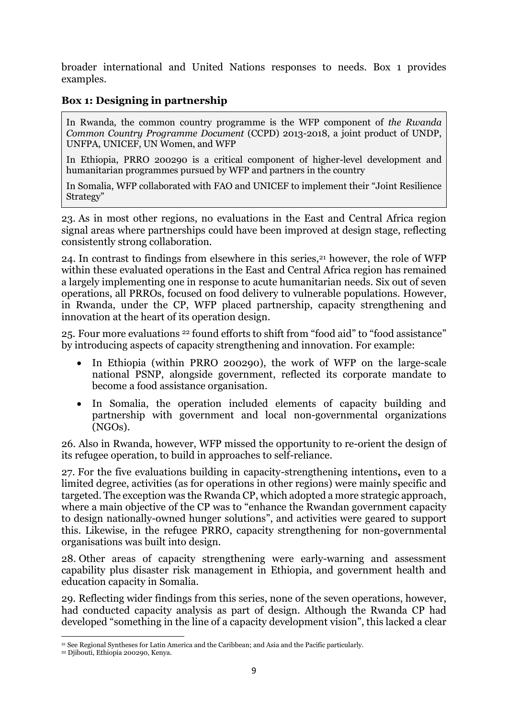broader international and United Nations responses to needs. Box 1 provides examples.

#### **Box 1: Designing in partnership**

In Rwanda, the common country programme is the WFP component of *the Rwanda Common Country Programme Document* (CCPD) 2013-2018, a joint product of UNDP, UNFPA, UNICEF, UN Women, and WFP

In Ethiopia, PRRO 200290 is a critical component of higher-level development and humanitarian programmes pursued by WFP and partners in the country

In Somalia, WFP collaborated with FAO and UNICEF to implement their "Joint Resilience Strategy"

23. As in most other regions, no evaluations in the East and Central Africa region signal areas where partnerships could have been improved at design stage, reflecting consistently strong collaboration.

24. In contrast to findings from elsewhere in this series, $21$  however, the role of WFP within these evaluated operations in the East and Central Africa region has remained a largely implementing one in response to acute humanitarian needs. Six out of seven operations, all PRROs, focused on food delivery to vulnerable populations. However, in Rwanda, under the CP, WFP placed partnership, capacity strengthening and innovation at the heart of its operation design.

25. Four more evaluations <sup>22</sup> found efforts to shift from "food aid" to "food assistance" by introducing aspects of capacity strengthening and innovation. For example:

- In Ethiopia (within PRRO 200290), the work of WFP on the large-scale national PSNP, alongside government, reflected its corporate mandate to become a food assistance organisation.
- In Somalia, the operation included elements of capacity building and partnership with government and local non-governmental organizations (NGOs).

26. Also in Rwanda, however, WFP missed the opportunity to re-orient the design of its refugee operation, to build in approaches to self-reliance.

27. For the five evaluations building in capacity-strengthening intentions**,** even to a limited degree, activities (as for operations in other regions) were mainly specific and targeted. The exception was the Rwanda CP, which adopted a more strategic approach, where a main objective of the CP was to "enhance the Rwandan government capacity to design nationally-owned hunger solutions", and activities were geared to support this. Likewise, in the refugee PRRO, capacity strengthening for non-governmental organisations was built into design.

28. Other areas of capacity strengthening were early-warning and assessment capability plus disaster risk management in Ethiopia, and government health and education capacity in Somalia.

29. Reflecting wider findings from this series, none of the seven operations, however, had conducted capacity analysis as part of design. Although the Rwanda CP had developed "something in the line of a capacity development vision", this lacked a clear

**<sup>.</sup>** <sup>21</sup> See Regional Syntheses for Latin America and the Caribbean; and Asia and the Pacific particularly.

<sup>22</sup> Djibouti, Ethiopia 200290, Kenya.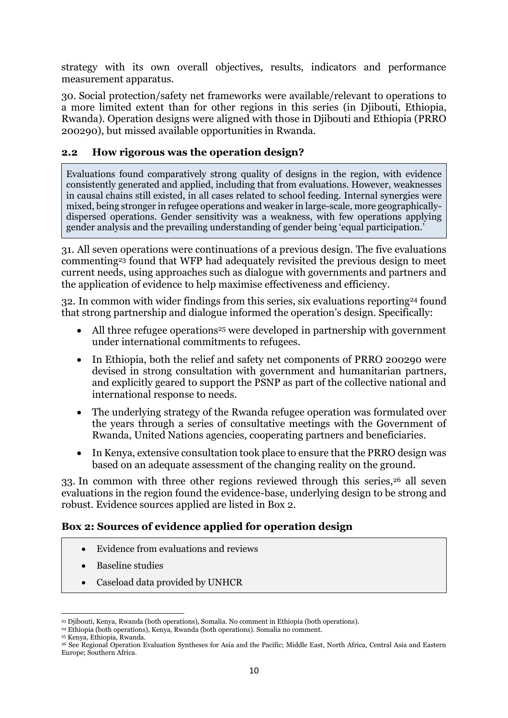strategy with its own overall objectives, results, indicators and performance measurement apparatus.

30. Social protection/safety net frameworks were available/relevant to operations to a more limited extent than for other regions in this series (in Djibouti, Ethiopia, Rwanda). Operation designs were aligned with those in Diibouti and Ethiopia (PRRO 200290), but missed available opportunities in Rwanda.

#### **2.2 How rigorous was the operation design?**

Evaluations found comparatively strong quality of designs in the region, with evidence consistently generated and applied, including that from evaluations. However, weaknesses in causal chains still existed, in all cases related to school feeding. Internal synergies were mixed, being stronger in refugee operations and weaker in large-scale, more geographicallydispersed operations. Gender sensitivity was a weakness, with few operations applying gender analysis and the prevailing understanding of gender being 'equal participation.'

31. All seven operations were continuations of a previous design. The five evaluations commenting<sup>23</sup> found that WFP had adequately revisited the previous design to meet current needs, using approaches such as dialogue with governments and partners and the application of evidence to help maximise effectiveness and efficiency.

32. In common with wider findings from this series, six evaluations reporting<sup>24</sup> found that strong partnership and dialogue informed the operation's design. Specifically:

- All three refugee operations<sup>25</sup> were developed in partnership with government under international commitments to refugees.
- In Ethiopia, both the relief and safety net components of PRRO 200290 were devised in strong consultation with government and humanitarian partners, and explicitly geared to support the PSNP as part of the collective national and international response to needs.
- The underlying strategy of the Rwanda refugee operation was formulated over the years through a series of consultative meetings with the Government of Rwanda, United Nations agencies, cooperating partners and beneficiaries.
- In Kenya, extensive consultation took place to ensure that the PRRO design was based on an adequate assessment of the changing reality on the ground.

33. In common with three other regions reviewed through this series,<sup>26</sup> all seven evaluations in the region found the evidence-base, underlying design to be strong and robust. Evidence sources applied are listed in Box 2.

#### **Box 2: Sources of evidence applied for operation design**

- Evidence from evaluations and reviews
- Baseline studies
- Caseload data provided by UNHCR

<sup>1</sup> <sup>23</sup> Djibouti, Kenya, Rwanda (both operations), Somalia. No comment in Ethiopia (both operations).

<sup>24</sup> Ethiopia (both operations), Kenya, Rwanda (both operations). Somalia no comment.

<sup>25</sup> Kenya, Ethiopia, Rwanda.

<sup>26</sup> See Regional Operation Evaluation Syntheses for Asia and the Pacific; Middle East, North Africa, Central Asia and Eastern Europe; Southern Africa.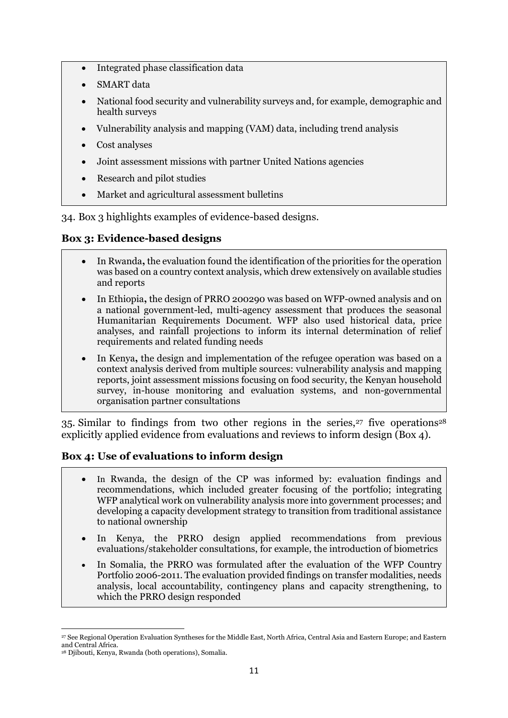- Integrated phase classification data
- SMART data
- National food security and vulnerability surveys and, for example, demographic and health surveys
- Vulnerability analysis and mapping (VAM) data, including trend analysis
- Cost analyses
- Joint assessment missions with partner United Nations agencies
- Research and pilot studies
- Market and agricultural assessment bulletins

34. Box 3 highlights examples of evidence-based designs.

## **Box 3: Evidence-based designs**

- In Rwanda**,** the evaluation found the identification of the priorities for the operation was based on a country context analysis, which drew extensively on available studies and reports
- In Ethiopia**,** the design of PRRO 200290 was based on WFP-owned analysis and on a national government-led, multi-agency assessment that produces the seasonal Humanitarian Requirements Document. WFP also used historical data, price analyses, and rainfall projections to inform its internal determination of relief requirements and related funding needs
- In Kenya**,** the design and implementation of the refugee operation was based on a context analysis derived from multiple sources: vulnerability analysis and mapping reports, joint assessment missions focusing on food security, the Kenyan household survey, in-house monitoring and evaluation systems, and non-governmental organisation partner consultations

35. Similar to findings from two other regions in the series,  $27$  five operations  $28$ explicitly applied evidence from evaluations and reviews to inform design (Box 4).

## **Box 4: Use of evaluations to inform design**

- In Rwanda, the design of the CP was informed by: evaluation findings and recommendations, which included greater focusing of the portfolio; integrating WFP analytical work on vulnerability analysis more into government processes; and developing a capacity development strategy to transition from traditional assistance to national ownership
- In Kenya, the PRRO design applied recommendations from previous evaluations/stakeholder consultations, for example, the introduction of biometrics
- In Somalia, the PRRO was formulated after the evaluation of the WFP Country Portfolio 2006-2011. The evaluation provided findings on transfer modalities, needs analysis, local accountability, contingency plans and capacity strengthening, to which the PRRO design responded

**<sup>.</sup>** <sup>27</sup> See Regional Operation Evaluation Syntheses for the Middle East, North Africa, Central Asia and Eastern Europe; and Eastern and Central Africa.

<sup>28</sup> Djibouti, Kenya, Rwanda (both operations), Somalia.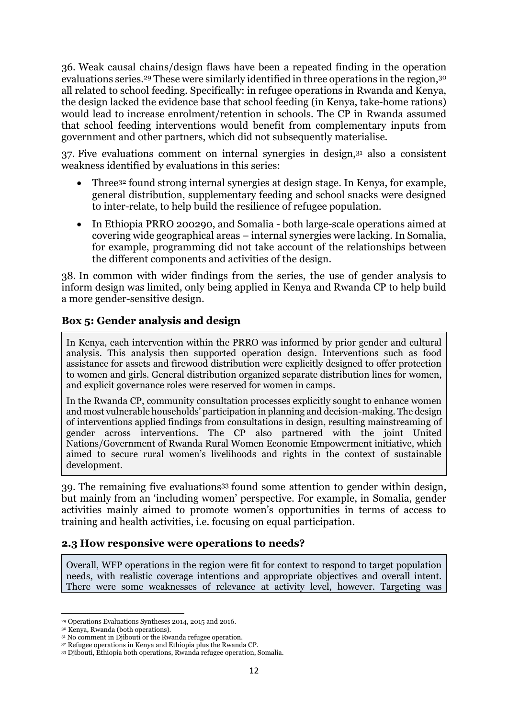36. Weak causal chains/design flaws have been a repeated finding in the operation evaluations series.<sup>29</sup> These were similarly identified in three operations in the region,<sup>30</sup> all related to school feeding. Specifically: in refugee operations in Rwanda and Kenya, the design lacked the evidence base that school feeding (in Kenya, take-home rations) would lead to increase enrolment/retention in schools. The CP in Rwanda assumed that school feeding interventions would benefit from complementary inputs from government and other partners, which did not subsequently materialise.

37. Five evaluations comment on internal synergies in design, <sup>31</sup> also a consistent weakness identified by evaluations in this series:

- Three<sup>32</sup> found strong internal synergies at design stage. In Kenya, for example, general distribution, supplementary feeding and school snacks were designed to inter-relate, to help build the resilience of refugee population.
- In Ethiopia PRRO 200290, and Somalia both large-scale operations aimed at covering wide geographical areas – internal synergies were lacking. In Somalia, for example, programming did not take account of the relationships between the different components and activities of the design.

38. In common with wider findings from the series, the use of gender analysis to inform design was limited, only being applied in Kenya and Rwanda CP to help build a more gender-sensitive design.

## **Box 5: Gender analysis and design**

In Kenya, each intervention within the PRRO was informed by prior gender and cultural analysis. This analysis then supported operation design. Interventions such as food assistance for assets and firewood distribution were explicitly designed to offer protection to women and girls. General distribution organized separate distribution lines for women, and explicit governance roles were reserved for women in camps.

In the Rwanda CP, community consultation processes explicitly sought to enhance women and most vulnerable households' participation in planning and decision-making. The design of interventions applied findings from consultations in design, resulting mainstreaming of gender across interventions. The CP also partnered with the joint United Nations/Government of Rwanda Rural Women Economic Empowerment initiative, which aimed to secure rural women's livelihoods and rights in the context of sustainable development.

39. The remaining five evaluations<sup>33</sup> found some attention to gender within design, but mainly from an 'including women' perspective. For example, in Somalia, gender activities mainly aimed to promote women's opportunities in terms of access to training and health activities, i.e. focusing on equal participation.

#### **2.3 How responsive were operations to needs?**

Overall, WFP operations in the region were fit for context to respond to target population needs, with realistic coverage intentions and appropriate objectives and overall intent. There were some weaknesses of relevance at activity level, however. Targeting was

1

<sup>29</sup> Operations Evaluations Syntheses 2014, 2015 and 2016.

<sup>30</sup> Kenya, Rwanda (both operations).

<sup>&</sup>lt;sup>31</sup> No comment in Diibouti or the Rwanda refugee operation.

<sup>32</sup> Refugee operations in Kenya and Ethiopia plus the Rwanda CP.

<sup>33</sup> Djibouti, Ethiopia both operations, Rwanda refugee operation, Somalia.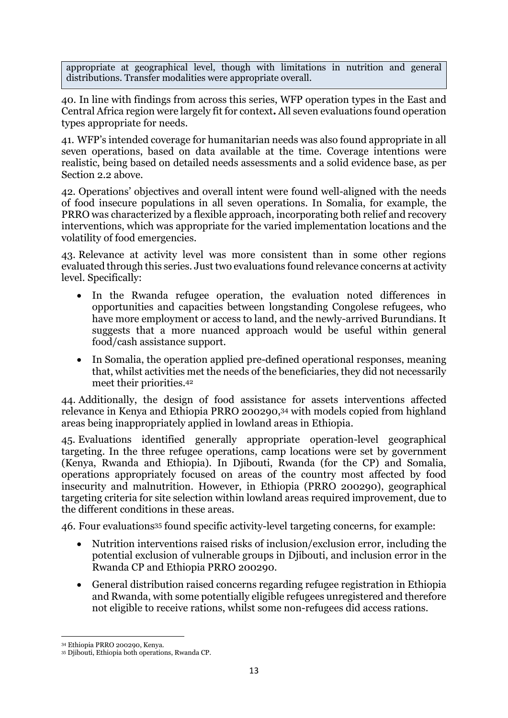appropriate at geographical level, though with limitations in nutrition and general distributions. Transfer modalities were appropriate overall.

40. In line with findings from across this series, WFP operation types in the East and Central Africa region were largely fit for context**.** All seven evaluations found operation types appropriate for needs.

41. WFP's intended coverage for humanitarian needs was also found appropriate in all seven operations, based on data available at the time. Coverage intentions were realistic, being based on detailed needs assessments and a solid evidence base, as per Section 2.2 above.

42. Operations' objectives and overall intent were found well-aligned with the needs of food insecure populations in all seven operations. In Somalia, for example, the PRRO was characterized by a flexible approach, incorporating both relief and recovery interventions, which was appropriate for the varied implementation locations and the volatility of food emergencies.

43. Relevance at activity level was more consistent than in some other regions evaluated through this series. Just two evaluations found relevance concerns at activity level. Specifically:

- In the Rwanda refugee operation, the evaluation noted differences in opportunities and capacities between longstanding Congolese refugees, who have more employment or access to land, and the newly-arrived Burundians. It suggests that a more nuanced approach would be useful within general food/cash assistance support.
- In Somalia, the operation applied pre-defined operational responses, meaning that, whilst activities met the needs of the beneficiaries, they did not necessarily meet their priorities. 42

44. Additionally, the design of food assistance for assets interventions affected relevance in Kenya and Ethiopia PRRO 200290, <sup>34</sup> with models copied from highland areas being inappropriately applied in lowland areas in Ethiopia.

45. Evaluations identified generally appropriate operation-level geographical targeting. In the three refugee operations, camp locations were set by government (Kenya, Rwanda and Ethiopia). In Djibouti, Rwanda (for the CP) and Somalia, operations appropriately focused on areas of the country most affected by food insecurity and malnutrition. However, in Ethiopia (PRRO 200290), geographical targeting criteria for site selection within lowland areas required improvement, due to the different conditions in these areas.

46. Four evaluations<sup>35</sup> found specific activity-level targeting concerns, for example:

- Nutrition interventions raised risks of inclusion/exclusion error, including the potential exclusion of vulnerable groups in Djibouti, and inclusion error in the Rwanda CP and Ethiopia PRRO 200290.
- General distribution raised concerns regarding refugee registration in Ethiopia and Rwanda, with some potentially eligible refugees unregistered and therefore not eligible to receive rations, whilst some non-refugees did access rations.

**.** 

<sup>34</sup> Ethiopia PRRO 200290, Kenya.

<sup>35</sup> Djibouti, Ethiopia both operations, Rwanda CP.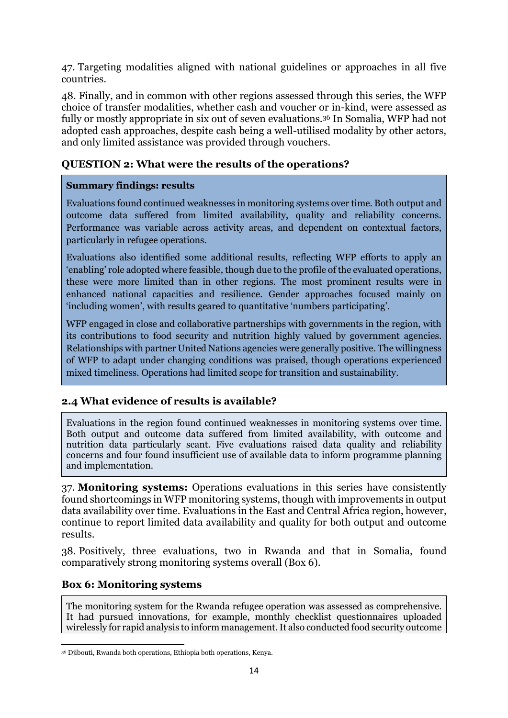47. Targeting modalities aligned with national guidelines or approaches in all five countries.

48. Finally, and in common with other regions assessed through this series, the WFP choice of transfer modalities, whether cash and voucher or in-kind, were assessed as fully or mostly appropriate in six out of seven evaluations.<sup>36</sup> In Somalia, WFP had not adopted cash approaches, despite cash being a well-utilised modality by other actors, and only limited assistance was provided through vouchers.

## <span id="page-15-0"></span>**QUESTION 2: What were the results of the operations?**

#### **Summary findings: results**

Evaluations found continued weaknesses in monitoring systems over time. Both output and outcome data suffered from limited availability, quality and reliability concerns. Performance was variable across activity areas, and dependent on contextual factors, particularly in refugee operations.

Evaluations also identified some additional results, reflecting WFP efforts to apply an 'enabling' role adopted where feasible, though due to the profile of the evaluated operations, these were more limited than in other regions. The most prominent results were in enhanced national capacities and resilience. Gender approaches focused mainly on 'including women', with results geared to quantitative 'numbers participating'.

WFP engaged in close and collaborative partnerships with governments in the region, with its contributions to food security and nutrition highly valued by government agencies. Relationships with partner United Nations agencies were generally positive. The willingness of WFP to adapt under changing conditions was praised, though operations experienced mixed timeliness. Operations had limited scope for transition and sustainability.

## **2.4 What evidence of results is available?**

Evaluations in the region found continued weaknesses in monitoring systems over time. Both output and outcome data suffered from limited availability, with outcome and nutrition data particularly scant. Five evaluations raised data quality and reliability concerns and four found insufficient use of available data to inform programme planning and implementation.

37. **Monitoring systems:** Operations evaluations in this series have consistently found shortcomings in WFP monitoring systems, though with improvements in output data availability over time. Evaluations in the East and Central Africa region, however, continue to report limited data availability and quality for both output and outcome results.

38. Positively, three evaluations, two in Rwanda and that in Somalia, found comparatively strong monitoring systems overall (Box 6).

#### **Box 6: Monitoring systems**

The monitoring system for the Rwanda refugee operation was assessed as comprehensive. It had pursued innovations, for example, monthly checklist questionnaires uploaded wirelessly for rapid analysis to inform management. It also conducted food security outcome

<sup>1</sup> <sup>36</sup> Djibouti, Rwanda both operations, Ethiopia both operations, Kenya.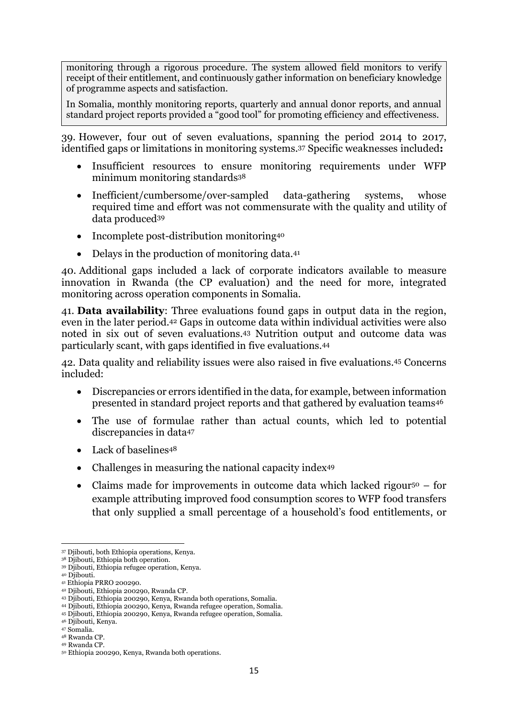monitoring through a rigorous procedure. The system allowed field monitors to verify receipt of their entitlement, and continuously gather information on beneficiary knowledge of programme aspects and satisfaction.

In Somalia, monthly monitoring reports, quarterly and annual donor reports, and annual standard project reports provided a "good tool" for promoting efficiency and effectiveness.

39. However, four out of seven evaluations, spanning the period 2014 to 2017, identified gaps or limitations in monitoring systems. <sup>37</sup> Specific weaknesses included**:** 

- Insufficient resources to ensure monitoring requirements under WFP minimum monitoring standards<sup>38</sup>
- Inefficient/cumbersome/over-sampled data-gathering systems, whose required time and effort was not commensurate with the quality and utility of data produced<sup>39</sup>
- Incomplete post-distribution monitoring $40$
- Delays in the production of monitoring data.<sup>41</sup>

40. Additional gaps included a lack of corporate indicators available to measure innovation in Rwanda (the CP evaluation) and the need for more, integrated monitoring across operation components in Somalia.

41. **Data availability**: Three evaluations found gaps in output data in the region, even in the later period. <sup>42</sup> Gaps in outcome data within individual activities were also noted in six out of seven evaluations. <sup>43</sup> Nutrition output and outcome data was particularly scant, with gaps identified in five evaluations.<sup>44</sup>

42. Data quality and reliability issues were also raised in five evaluations.<sup>45</sup> Concerns included:

- Discrepancies or errors identified in the data, for example, between information presented in standard project reports and that gathered by evaluation teams<sup>46</sup>
- The use of formulae rather than actual counts, which led to potential discrepancies in data<sup>47</sup>
- Lack of baselines<sup>48</sup>
- Challenges in measuring the national capacity index<sup>49</sup>
- Claims made for improvements in outcome data which lacked rigour<sup>50</sup> for example attributing improved food consumption scores to WFP food transfers that only supplied a small percentage of a household's food entitlements, or

**<sup>.</sup>** <sup>37</sup> Djibouti, both Ethiopia operations, Kenya.

<sup>38</sup> Djibouti, Ethiopia both operation.

<sup>39</sup> Djibouti, Ethiopia refugee operation, Kenya.

<sup>40</sup> Djibouti.

<sup>41</sup> Ethiopia PRRO 200290.

<sup>42</sup> Djibouti, Ethiopia 200290, Rwanda CP.

<sup>43</sup> Djibouti, Ethiopia 200290, Kenya, Rwanda both operations, Somalia.

<sup>44</sup> Djibouti, Ethiopia 200290, Kenya, Rwanda refugee operation, Somalia.

<sup>45</sup> Djibouti, Ethiopia 200290, Kenya, Rwanda refugee operation, Somalia.

<sup>46</sup> Djibouti, Kenya.

<sup>47</sup> Somalia.

<sup>48</sup> Rwanda CP. <sup>49</sup> Rwanda CP.

<sup>50</sup> Ethiopia 200290, Kenya, Rwanda both operations.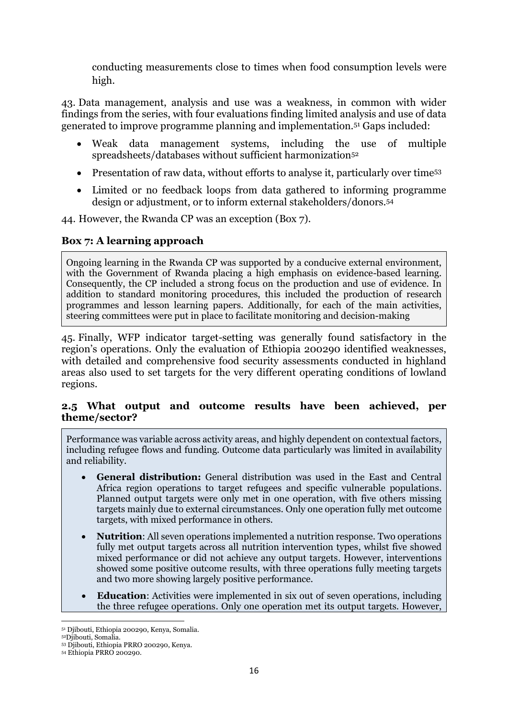conducting measurements close to times when food consumption levels were high.

43. Data management, analysis and use was a weakness, in common with wider findings from the series, with four evaluations finding limited analysis and use of data generated to improve programme planning and implementation.<sup>51</sup> Gaps included:

- Weak data management systems, including the use of multiple spreadsheets/databases without sufficient harmonization<sup>52</sup>
- Presentation of raw data, without efforts to analyse it, particularly over time<sup>53</sup>
- Limited or no feedback loops from data gathered to informing programme design or adjustment, or to inform external stakeholders/donors. 54

44. However, the Rwanda CP was an exception (Box 7).

### **Box 7: A learning approach**

Ongoing learning in the Rwanda CP was supported by a conducive external environment, with the Government of Rwanda placing a high emphasis on evidence-based learning. Consequently, the CP included a strong focus on the production and use of evidence. In addition to standard monitoring procedures, this included the production of research programmes and lesson learning papers. Additionally, for each of the main activities, steering committees were put in place to facilitate monitoring and decision-making

45. Finally, WFP indicator target-setting was generally found satisfactory in the region's operations. Only the evaluation of Ethiopia 200290 identified weaknesses, with detailed and comprehensive food security assessments conducted in highland areas also used to set targets for the very different operating conditions of lowland regions.

## **2.5 What output and outcome results have been achieved, per theme/sector?**

Performance was variable across activity areas, and highly dependent on contextual factors, including refugee flows and funding. Outcome data particularly was limited in availability and reliability.

- **General distribution:** General distribution was used in the East and Central Africa region operations to target refugees and specific vulnerable populations. Planned output targets were only met in one operation, with five others missing targets mainly due to external circumstances. Only one operation fully met outcome targets, with mixed performance in others.
- **Nutrition**: All seven operations implemented a nutrition response. Two operations fully met output targets across all nutrition intervention types, whilst five showed mixed performance or did not achieve any output targets. However, interventions showed some positive outcome results, with three operations fully meeting targets and two more showing largely positive performance.
- **Education**: Activities were implemented in six out of seven operations, including the three refugee operations. Only one operation met its output targets. However,

**<sup>.</sup>** <sup>51</sup> Djibouti, Ethiopia 200290, Kenya, Somalia.

<sup>52</sup>Djibouti, Somalia.

<sup>53</sup> Djibouti, Ethiopia PRRO 200290, Kenya.

<sup>54</sup> Ethiopia PRRO 200290.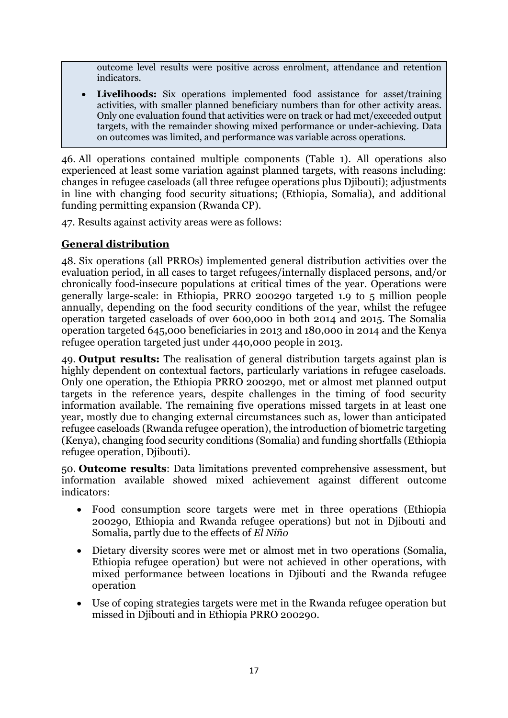outcome level results were positive across enrolment, attendance and retention indicators.

 **Livelihoods:** Six operations implemented food assistance for asset/training activities, with smaller planned beneficiary numbers than for other activity areas. Only one evaluation found that activities were on track or had met/exceeded output targets, with the remainder showing mixed performance or under-achieving. Data on outcomes was limited, and performance was variable across operations.

46. All operations contained multiple components (Table 1). All operations also experienced at least some variation against planned targets, with reasons including: changes in refugee caseloads (all three refugee operations plus Djibouti); adjustments in line with changing food security situations; (Ethiopia, Somalia), and additional funding permitting expansion (Rwanda CP).

47. Results against activity areas were as follows:

## **General distribution**

48. Six operations (all PRROs) implemented general distribution activities over the evaluation period, in all cases to target refugees/internally displaced persons, and/or chronically food-insecure populations at critical times of the year. Operations were generally large-scale: in Ethiopia, PRRO 200290 targeted 1.9 to 5 million people annually, depending on the food security conditions of the year, whilst the refugee operation targeted caseloads of over 600,000 in both 2014 and 2015. The Somalia operation targeted 645,000 beneficiaries in 2013 and 180,000 in 2014 and the Kenya refugee operation targeted just under 440,000 people in 2013.

49. **Output results:** The realisation of general distribution targets against plan is highly dependent on contextual factors, particularly variations in refugee caseloads. Only one operation, the Ethiopia PRRO 200290, met or almost met planned output targets in the reference years, despite challenges in the timing of food security information available. The remaining five operations missed targets in at least one year, mostly due to changing external circumstances such as, lower than anticipated refugee caseloads (Rwanda refugee operation), the introduction of biometric targeting (Kenya), changing food security conditions (Somalia) and funding shortfalls (Ethiopia refugee operation, Djibouti).

50. **Outcome results**: Data limitations prevented comprehensive assessment, but information available showed mixed achievement against different outcome indicators:

- Food consumption score targets were met in three operations (Ethiopia 200290, Ethiopia and Rwanda refugee operations) but not in Djibouti and Somalia, partly due to the effects of *El Niño*
- Dietary diversity scores were met or almost met in two operations (Somalia, Ethiopia refugee operation) but were not achieved in other operations, with mixed performance between locations in Djibouti and the Rwanda refugee operation
- Use of coping strategies targets were met in the Rwanda refugee operation but missed in Djibouti and in Ethiopia PRRO 200290.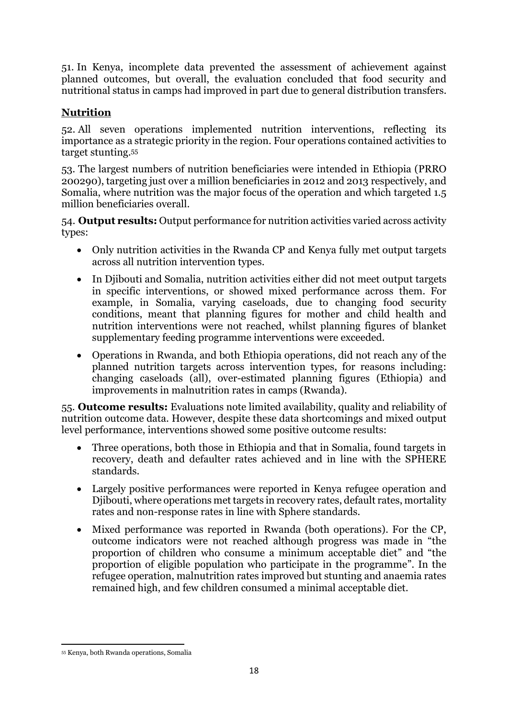51. In Kenya, incomplete data prevented the assessment of achievement against planned outcomes, but overall, the evaluation concluded that food security and nutritional status in camps had improved in part due to general distribution transfers.

## **Nutrition**

52. All seven operations implemented nutrition interventions, reflecting its importance as a strategic priority in the region. Four operations contained activities to target stunting.<sup>55</sup>

53. The largest numbers of nutrition beneficiaries were intended in Ethiopia (PRRO 200290), targeting just over a million beneficiaries in 2012 and 2013 respectively, and Somalia, where nutrition was the major focus of the operation and which targeted 1.5 million beneficiaries overall.

54. **Output results:** Output performance for nutrition activities varied across activity types:

- Only nutrition activities in the Rwanda CP and Kenya fully met output targets across all nutrition intervention types.
- In Diibouti and Somalia, nutrition activities either did not meet output targets in specific interventions, or showed mixed performance across them. For example, in Somalia, varying caseloads, due to changing food security conditions, meant that planning figures for mother and child health and nutrition interventions were not reached, whilst planning figures of blanket supplementary feeding programme interventions were exceeded.
- Operations in Rwanda, and both Ethiopia operations, did not reach any of the planned nutrition targets across intervention types, for reasons including: changing caseloads (all), over-estimated planning figures (Ethiopia) and improvements in malnutrition rates in camps (Rwanda).

55. **Outcome results:** Evaluations note limited availability, quality and reliability of nutrition outcome data. However, despite these data shortcomings and mixed output level performance, interventions showed some positive outcome results:

- Three operations, both those in Ethiopia and that in Somalia, found targets in recovery, death and defaulter rates achieved and in line with the SPHERE standards.
- Largely positive performances were reported in Kenya refugee operation and Djibouti, where operations met targets in recovery rates, default rates, mortality rates and non-response rates in line with Sphere standards.
- Mixed performance was reported in Rwanda (both operations). For the CP, outcome indicators were not reached although progress was made in "the proportion of children who consume a minimum acceptable diet" and "the proportion of eligible population who participate in the programme". In the refugee operation, malnutrition rates improved but stunting and anaemia rates remained high, and few children consumed a minimal acceptable diet.

<sup>1</sup> <sup>55</sup> Kenya, both Rwanda operations, Somalia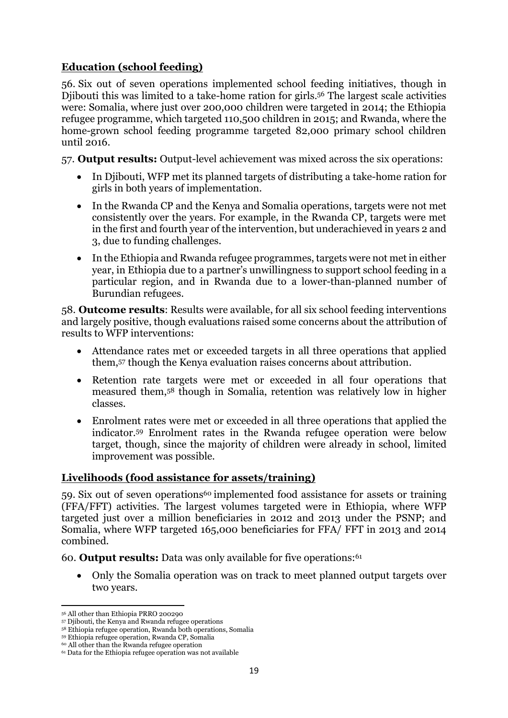## **Education (school feeding)**

56. Six out of seven operations implemented school feeding initiatives, though in Djibouti this was limited to a take-home ration for girls. <sup>56</sup> The largest scale activities were: Somalia, where just over 200,000 children were targeted in 2014; the Ethiopia refugee programme, which targeted 110,500 children in 2015; and Rwanda, where the home-grown school feeding programme targeted 82,000 primary school children until 2016.

57. **Output results:** Output-level achievement was mixed across the six operations:

- In Djibouti, WFP met its planned targets of distributing a take-home ration for girls in both years of implementation.
- In the Rwanda CP and the Kenya and Somalia operations, targets were not met consistently over the years. For example, in the Rwanda CP, targets were met in the first and fourth year of the intervention, but underachieved in years 2 and 3, due to funding challenges.
- In the Ethiopia and Rwanda refugee programmes, targets were not met in either year, in Ethiopia due to a partner's unwillingness to support school feeding in a particular region, and in Rwanda due to a lower-than-planned number of Burundian refugees.

58. **Outcome results**: Results were available, for all six school feeding interventions and largely positive, though evaluations raised some concerns about the attribution of results to WFP interventions:

- Attendance rates met or exceeded targets in all three operations that applied them, <sup>57</sup> though the Kenya evaluation raises concerns about attribution.
- Retention rate targets were met or exceeded in all four operations that measured them, <sup>58</sup> though in Somalia, retention was relatively low in higher classes.
- Enrolment rates were met or exceeded in all three operations that applied the indicator. <sup>59</sup> Enrolment rates in the Rwanda refugee operation were below target, though, since the majority of children were already in school, limited improvement was possible.

## **Livelihoods (food assistance for assets/training)**

59. Six out of seven operations<sup>60</sup> implemented food assistance for assets or training (FFA/FFT) activities. The largest volumes targeted were in Ethiopia, where WFP targeted just over a million beneficiaries in 2012 and 2013 under the PSNP; and Somalia, where WFP targeted 165,000 beneficiaries for FFA/ FFT in 2013 and 2014 combined.

60. **Output results:** Data was only available for five operations: 61

 Only the Somalia operation was on track to meet planned output targets over two years.

**<sup>.</sup>** <sup>56</sup> All other than Ethiopia PRRO 200290

<sup>57</sup> Djibouti, the Kenya and Rwanda refugee operations

<sup>58</sup> Ethiopia refugee operation, Rwanda both operations, Somalia

<sup>59</sup> Ethiopia refugee operation, Rwanda CP, Somalia

<sup>60</sup> All other than the Rwanda refugee operation

<sup>61</sup> Data for the Ethiopia refugee operation was not available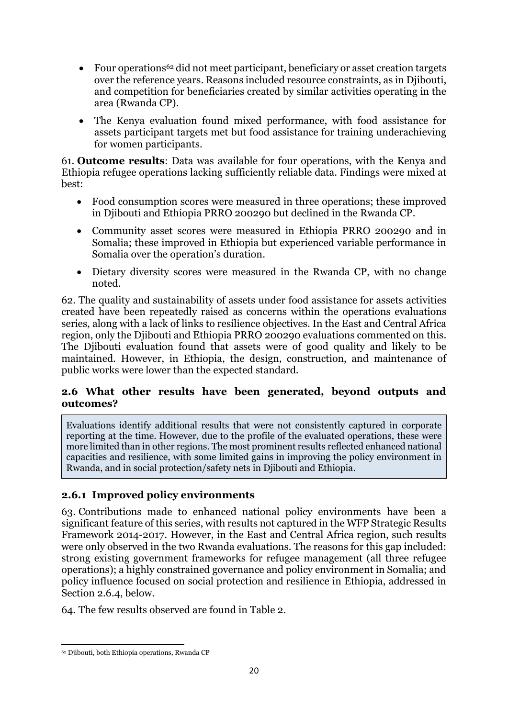- Four operations<sup>62</sup> did not meet participant, beneficiary or asset creation targets over the reference years. Reasons included resource constraints, as in Djibouti, and competition for beneficiaries created by similar activities operating in the area (Rwanda CP).
- The Kenya evaluation found mixed performance, with food assistance for assets participant targets met but food assistance for training underachieving for women participants.

61. **Outcome results**: Data was available for four operations, with the Kenya and Ethiopia refugee operations lacking sufficiently reliable data. Findings were mixed at best:

- Food consumption scores were measured in three operations; these improved in Djibouti and Ethiopia PRRO 200290 but declined in the Rwanda CP.
- Community asset scores were measured in Ethiopia PRRO 200290 and in Somalia; these improved in Ethiopia but experienced variable performance in Somalia over the operation's duration.
- Dietary diversity scores were measured in the Rwanda CP, with no change noted.

62. The quality and sustainability of assets under food assistance for assets activities created have been repeatedly raised as concerns within the operations evaluations series, along with a lack of links to resilience objectives. In the East and Central Africa region, only the Djibouti and Ethiopia PRRO 200290 evaluations commented on this. The Djibouti evaluation found that assets were of good quality and likely to be maintained. However, in Ethiopia, the design, construction, and maintenance of public works were lower than the expected standard.

## **2.6 What other results have been generated, beyond outputs and outcomes?**

Evaluations identify additional results that were not consistently captured in corporate reporting at the time. However, due to the profile of the evaluated operations, these were more limited than in other regions. The most prominent results reflected enhanced national capacities and resilience, with some limited gains in improving the policy environment in Rwanda, and in social protection/safety nets in Djibouti and Ethiopia.

## **2.6.1 Improved policy environments**

63. Contributions made to enhanced national policy environments have been a significant feature of this series, with results not captured in the WFP Strategic Results Framework 2014-2017. However, in the East and Central Africa region, such results were only observed in the two Rwanda evaluations. The reasons for this gap included: strong existing government frameworks for refugee management (all three refugee operations); a highly constrained governance and policy environment in Somalia; and policy influence focused on social protection and resilience in Ethiopia, addressed in Section 2.6.4, below.

64. The few results observed are found in Table 2.

<sup>1</sup> <sup>62</sup> Djibouti, both Ethiopia operations, Rwanda CP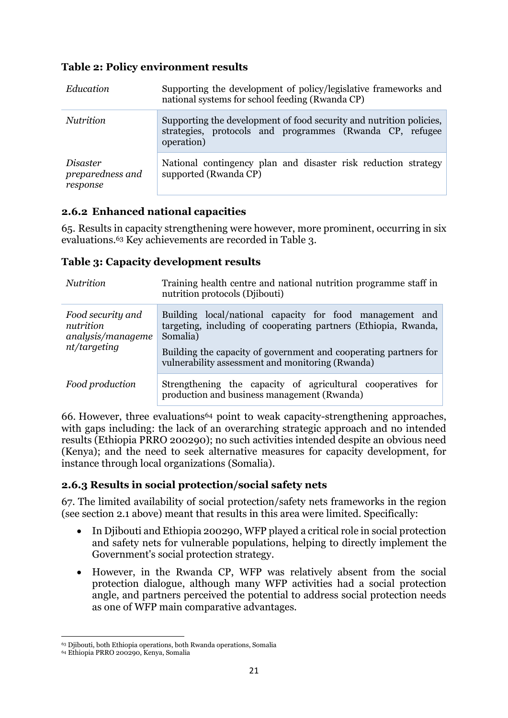## **Table 2: Policy environment results**

| Education                                | Supporting the development of policy/legislative frameworks and<br>national systems for school feeding (Rwanda CP)                            |  |  |  |  |
|------------------------------------------|-----------------------------------------------------------------------------------------------------------------------------------------------|--|--|--|--|
| <i>Nutrition</i>                         | Supporting the development of food security and nutrition policies,<br>strategies, protocols and programmes (Rwanda CP, refugee<br>operation) |  |  |  |  |
| Disaster<br>preparedness and<br>response | National contingency plan and disaster risk reduction strategy<br>supported (Rwanda CP)                                                       |  |  |  |  |

## **2.6.2 Enhanced national capacities**

65. Results in capacity strengthening were however, more prominent, occurring in six evaluations.<sup>63</sup> Key achievements are recorded in Table 3.

### **Table 3: Capacity development results**

| <i>Nutrition</i>                                                    | Training health centre and national nutrition programme staff in<br>nutrition protocols (Djibouti)                                                                                                                                                              |  |  |  |  |  |  |
|---------------------------------------------------------------------|-----------------------------------------------------------------------------------------------------------------------------------------------------------------------------------------------------------------------------------------------------------------|--|--|--|--|--|--|
| Food security and<br>nutrition<br>analysis/manageme<br>nt/targeting | Building local/national capacity for food management and<br>targeting, including of cooperating partners (Ethiopia, Rwanda,<br>Somalia)<br>Building the capacity of government and cooperating partners for<br>vulnerability assessment and monitoring (Rwanda) |  |  |  |  |  |  |
| Food production                                                     | Strengthening the capacity of agricultural cooperatives for<br>production and business management (Rwanda)                                                                                                                                                      |  |  |  |  |  |  |

66. However, three evaluations<sup>64</sup> point to weak capacity-strengthening approaches, with gaps including: the lack of an overarching strategic approach and no intended results (Ethiopia PRRO 200290); no such activities intended despite an obvious need (Kenya); and the need to seek alternative measures for capacity development, for instance through local organizations (Somalia).

## **2.6.3 Results in social protection/social safety nets**

67. The limited availability of social protection/safety nets frameworks in the region (see section 2.1 above) meant that results in this area were limited. Specifically:

- In Diibouti and Ethiopia 200290, WFP played a critical role in social protection and safety nets for vulnerable populations, helping to directly implement the Government's social protection strategy.
- However, in the Rwanda CP, WFP was relatively absent from the social protection dialogue, although many WFP activities had a social protection angle, and partners perceived the potential to address social protection needs as one of WFP main comparative advantages.

**.** 

<sup>63</sup> Djibouti, both Ethiopia operations, both Rwanda operations, Somalia

<sup>64</sup> Ethiopia PRRO 200290, Kenya, Somalia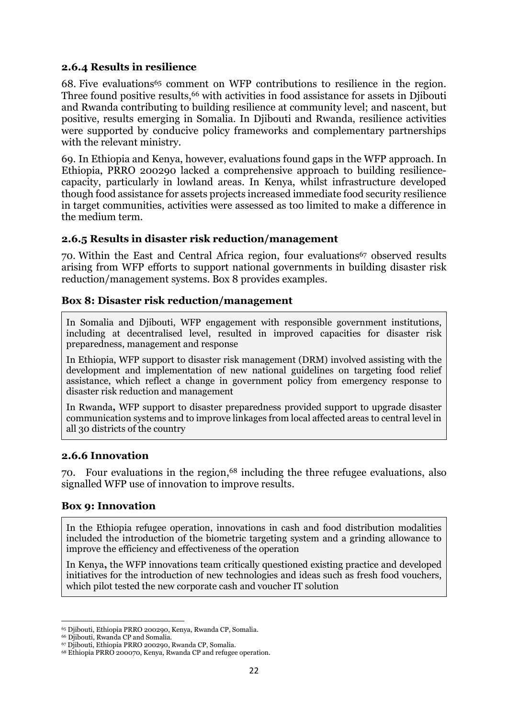#### **2.6.4 Results in resilience**

68. Five evaluations<sup>65</sup> comment on WFP contributions to resilience in the region. Three found positive results,<sup>66</sup> with activities in food assistance for assets in Djibouti and Rwanda contributing to building resilience at community level; and nascent, but positive, results emerging in Somalia. In Djibouti and Rwanda, resilience activities were supported by conducive policy frameworks and complementary partnerships with the relevant ministry.

69. In Ethiopia and Kenya, however, evaluations found gaps in the WFP approach. In Ethiopia, PRRO 200290 lacked a comprehensive approach to building resiliencecapacity, particularly in lowland areas. In Kenya, whilst infrastructure developed though food assistance for assets projects increased immediate food security resilience in target communities, activities were assessed as too limited to make a difference in the medium term.

#### **2.6.5 Results in disaster risk reduction/management**

70. Within the East and Central Africa region, four evaluations<sup>67</sup> observed results arising from WFP efforts to support national governments in building disaster risk reduction/management systems. Box 8 provides examples.

### **Box 8: Disaster risk reduction/management**

In Somalia and Diibouti, WFP engagement with responsible government institutions, including at decentralised level, resulted in improved capacities for disaster risk preparedness, management and response

In Ethiopia, WFP support to disaster risk management (DRM) involved assisting with the development and implementation of new national guidelines on targeting food relief assistance, which reflect a change in government policy from emergency response to disaster risk reduction and management

In Rwanda**,** WFP support to disaster preparedness provided support to upgrade disaster communication systems and to improve linkages from local affected areas to central level in all 30 districts of the country

#### **2.6.6 Innovation**

70. Four evaluations in the region, <sup>68</sup> including the three refugee evaluations, also signalled WFP use of innovation to improve results.

#### **Box 9: Innovation**

In the Ethiopia refugee operation, innovations in cash and food distribution modalities included the introduction of the biometric targeting system and a grinding allowance to improve the efficiency and effectiveness of the operation

In Kenya**,** the WFP innovations team critically questioned existing practice and developed initiatives for the introduction of new technologies and ideas such as fresh food vouchers, which pilot tested the new corporate cash and voucher IT solution

**<sup>.</sup>** <sup>65</sup> Djibouti, Ethiopia PRRO 200290, Kenya, Rwanda CP, Somalia.

<sup>66</sup> Djibouti, Rwanda CP and Somalia.

<sup>67</sup> Djibouti, Ethiopia PRRO 200290, Rwanda CP, Somalia.

<sup>68</sup> Ethiopia PRRO 200070, Kenya, Rwanda CP and refugee operation.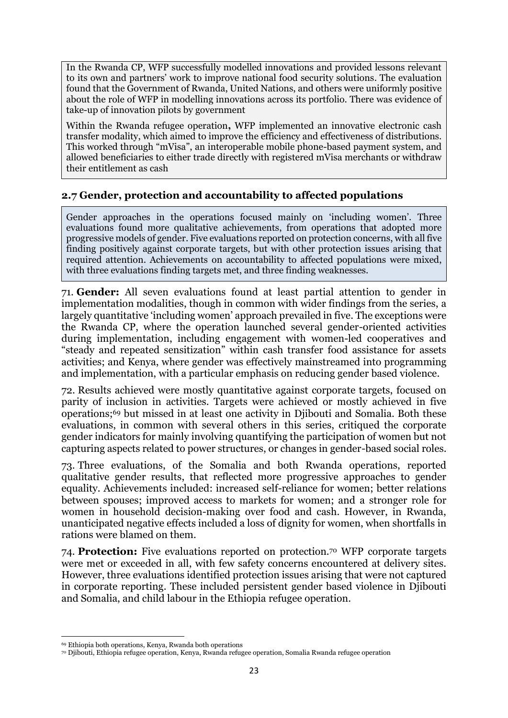In the Rwanda CP, WFP successfully modelled innovations and provided lessons relevant to its own and partners' work to improve national food security solutions. The evaluation found that the Government of Rwanda, United Nations, and others were uniformly positive about the role of WFP in modelling innovations across its portfolio. There was evidence of take-up of innovation pilots by government

Within the Rwanda refugee operation**,** WFP implemented an innovative electronic cash transfer modality, which aimed to improve the efficiency and effectiveness of distributions. This worked through "mVisa", an interoperable mobile phone-based payment system, and allowed beneficiaries to either trade directly with registered mVisa merchants or withdraw their entitlement as cash

## **2.7 Gender, protection and accountability to affected populations**

Gender approaches in the operations focused mainly on 'including women'. Three evaluations found more qualitative achievements, from operations that adopted more progressive models of gender. Five evaluations reported on protection concerns, with all five finding positively against corporate targets, but with other protection issues arising that required attention. Achievements on accountability to affected populations were mixed, with three evaluations finding targets met, and three finding weaknesses.

71. **Gender:** All seven evaluations found at least partial attention to gender in implementation modalities, though in common with wider findings from the series, a largely quantitative 'including women' approach prevailed in five. The exceptions were the Rwanda CP, where the operation launched several gender-oriented activities during implementation, including engagement with women-led cooperatives and "steady and repeated sensitization" within cash transfer food assistance for assets activities; and Kenya, where gender was effectively mainstreamed into programming and implementation, with a particular emphasis on reducing gender based violence.

72. Results achieved were mostly quantitative against corporate targets, focused on parity of inclusion in activities. Targets were achieved or mostly achieved in five operations; <sup>69</sup> but missed in at least one activity in Djibouti and Somalia. Both these evaluations, in common with several others in this series, critiqued the corporate gender indicators for mainly involving quantifying the participation of women but not capturing aspects related to power structures, or changes in gender-based social roles.

73. Three evaluations, of the Somalia and both Rwanda operations, reported qualitative gender results, that reflected more progressive approaches to gender equality. Achievements included: increased self-reliance for women; better relations between spouses; improved access to markets for women; and a stronger role for women in household decision-making over food and cash. However, in Rwanda, unanticipated negative effects included a loss of dignity for women, when shortfalls in rations were blamed on them.

74. **Protection:** Five evaluations reported on protection.<sup>70</sup> WFP corporate targets were met or exceeded in all, with few safety concerns encountered at delivery sites. However, three evaluations identified protection issues arising that were not captured in corporate reporting. These included persistent gender based violence in Djibouti and Somalia, and child labour in the Ethiopia refugee operation.

**.** 

<sup>69</sup> Ethiopia both operations, Kenya, Rwanda both operations

<sup>70</sup> Djibouti, Ethiopia refugee operation, Kenya, Rwanda refugee operation, Somalia Rwanda refugee operation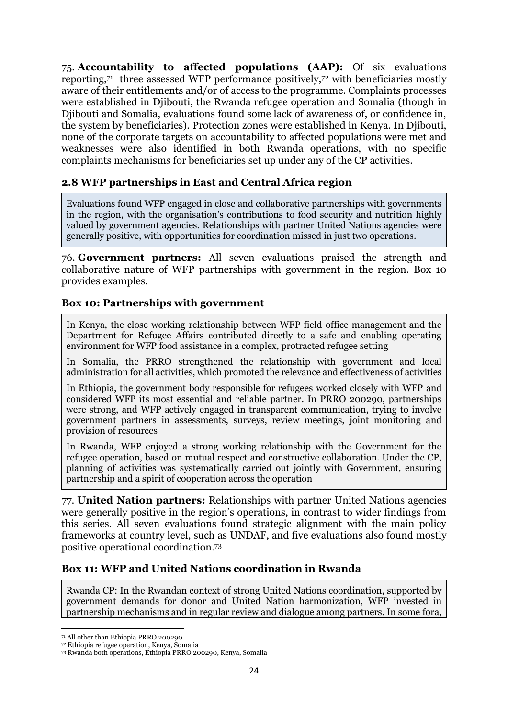75. **Accountability to affected populations (AAP):** Of six evaluations reporting, 71 three assessed WFP performance positively,<sup>72</sup> with beneficiaries mostly aware of their entitlements and/or of access to the programme. Complaints processes were established in Djibouti, the Rwanda refugee operation and Somalia (though in Djibouti and Somalia, evaluations found some lack of awareness of, or confidence in, the system by beneficiaries). Protection zones were established in Kenya. In Djibouti, none of the corporate targets on accountability to affected populations were met and weaknesses were also identified in both Rwanda operations, with no specific complaints mechanisms for beneficiaries set up under any of the CP activities.

### **2.8 WFP partnerships in East and Central Africa region**

Evaluations found WFP engaged in close and collaborative partnerships with governments in the region, with the organisation's contributions to food security and nutrition highly valued by government agencies. Relationships with partner United Nations agencies were generally positive, with opportunities for coordination missed in just two operations.

76. **Government partners:** All seven evaluations praised the strength and collaborative nature of WFP partnerships with government in the region. Box 10 provides examples.

#### **Box 10: Partnerships with government**

In Kenya, the close working relationship between WFP field office management and the Department for Refugee Affairs contributed directly to a safe and enabling operating environment for WFP food assistance in a complex, protracted refugee setting

In Somalia, the PRRO strengthened the relationship with government and local administration for all activities, which promoted the relevance and effectiveness of activities

In Ethiopia, the government body responsible for refugees worked closely with WFP and considered WFP its most essential and reliable partner. In PRRO 200290, partnerships were strong, and WFP actively engaged in transparent communication, trying to involve government partners in assessments, surveys, review meetings, joint monitoring and provision of resources

In Rwanda, WFP enjoyed a strong working relationship with the Government for the refugee operation, based on mutual respect and constructive collaboration. Under the CP, planning of activities was systematically carried out jointly with Government, ensuring partnership and a spirit of cooperation across the operation

77. **United Nation partners:** Relationships with partner United Nations agencies were generally positive in the region's operations, in contrast to wider findings from this series. All seven evaluations found strategic alignment with the main policy frameworks at country level, such as UNDAF, and five evaluations also found mostly positive operational coordination. 73

#### **Box 11: WFP and United Nations coordination in Rwanda**

Rwanda CP: In the Rwandan context of strong United Nations coordination, supported by government demands for donor and United Nation harmonization, WFP invested in partnership mechanisms and in regular review and dialogue among partners. In some fora,

**<sup>.</sup>** <sup>71</sup> All other than Ethiopia PRRO 200290

<sup>72</sup> Ethiopia refugee operation, Kenya, Somalia

<sup>73</sup> Rwanda both operations, Ethiopia PRRO 200290, Kenya, Somalia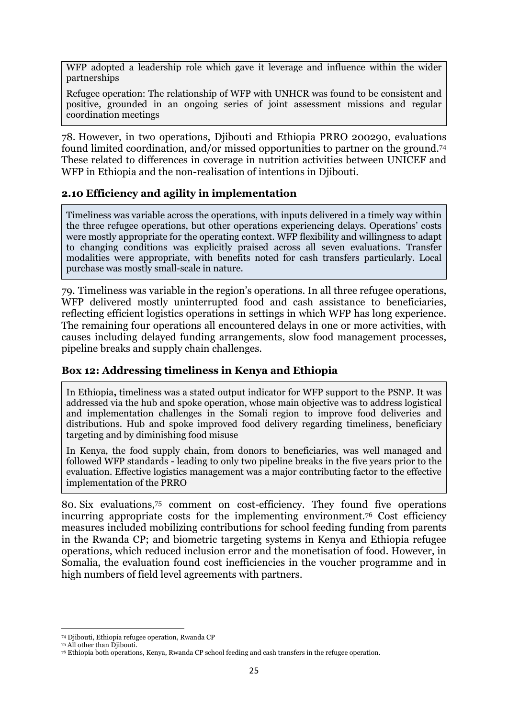WFP adopted a leadership role which gave it leverage and influence within the wider partnerships

Refugee operation: The relationship of WFP with UNHCR was found to be consistent and positive, grounded in an ongoing series of joint assessment missions and regular coordination meetings

78. However, in two operations, Djibouti and Ethiopia PRRO 200290, evaluations found limited coordination, and/or missed opportunities to partner on the ground.<sup>74</sup> These related to differences in coverage in nutrition activities between UNICEF and WFP in Ethiopia and the non-realisation of intentions in Djibouti.

### **2.10 Efficiency and agility in implementation**

Timeliness was variable across the operations, with inputs delivered in a timely way within the three refugee operations, but other operations experiencing delays. Operations' costs were mostly appropriate for the operating context. WFP flexibility and willingness to adapt to changing conditions was explicitly praised across all seven evaluations. Transfer modalities were appropriate, with benefits noted for cash transfers particularly. Local purchase was mostly small-scale in nature.

79. Timeliness was variable in the region's operations. In all three refugee operations, WFP delivered mostly uninterrupted food and cash assistance to beneficiaries, reflecting efficient logistics operations in settings in which WFP has long experience. The remaining four operations all encountered delays in one or more activities, with causes including delayed funding arrangements, slow food management processes, pipeline breaks and supply chain challenges.

#### **Box 12: Addressing timeliness in Kenya and Ethiopia**

In Ethiopia**,** timeliness was a stated output indicator for WFP support to the PSNP. It was addressed via the hub and spoke operation, whose main objective was to address logistical and implementation challenges in the Somali region to improve food deliveries and distributions. Hub and spoke improved food delivery regarding timeliness, beneficiary targeting and by diminishing food misuse

In Kenya, the food supply chain, from donors to beneficiaries, was well managed and followed WFP standards - leading to only two pipeline breaks in the five years prior to the evaluation. Effective logistics management was a major contributing factor to the effective implementation of the PRRO

80. Six evaluations, <sup>75</sup> comment on cost-efficiency. They found five operations incurring appropriate costs for the implementing environment.<sup>76</sup> Cost efficiency measures included mobilizing contributions for school feeding funding from parents in the Rwanda CP; and biometric targeting systems in Kenya and Ethiopia refugee operations, which reduced inclusion error and the monetisation of food. However, in Somalia, the evaluation found cost inefficiencies in the voucher programme and in high numbers of field level agreements with partners.

**<sup>.</sup>** <sup>74</sup> Djibouti, Ethiopia refugee operation, Rwanda CP

<sup>75</sup> All other than Djibouti.

<sup>76</sup> Ethiopia both operations, Kenya, Rwanda CP school feeding and cash transfers in the refugee operation.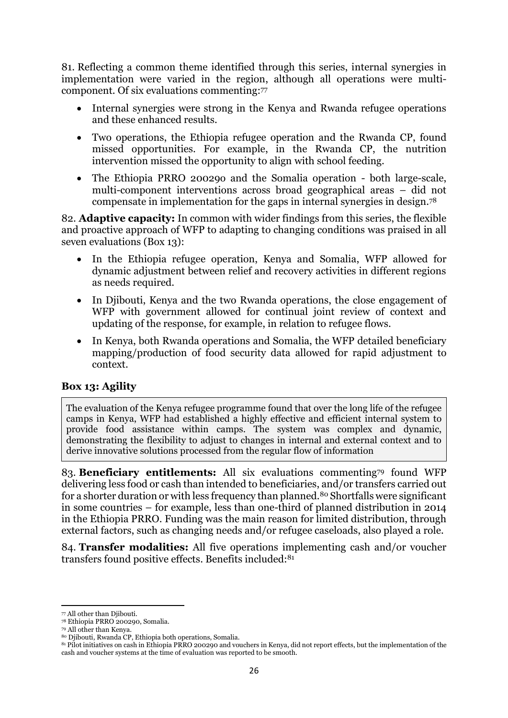81. Reflecting a common theme identified through this series, internal synergies in implementation were varied in the region, although all operations were multicomponent. Of six evaluations commenting: 77

- Internal synergies were strong in the Kenya and Rwanda refugee operations and these enhanced results.
- Two operations, the Ethiopia refugee operation and the Rwanda CP, found missed opportunities. For example, in the Rwanda CP, the nutrition intervention missed the opportunity to align with school feeding.
- The Ethiopia PRRO 20029o and the Somalia operation both large-scale, multi-component interventions across broad geographical areas – did not compensate in implementation for the gaps in internal synergies in design.<sup>78</sup>

82. **Adaptive capacity:** In common with wider findings from this series, the flexible and proactive approach of WFP to adapting to changing conditions was praised in all seven evaluations (Box 13):

- In the Ethiopia refugee operation, Kenya and Somalia, WFP allowed for dynamic adjustment between relief and recovery activities in different regions as needs required.
- In Diibouti, Kenya and the two Rwanda operations, the close engagement of WFP with government allowed for continual joint review of context and updating of the response, for example, in relation to refugee flows.
- In Kenya, both Rwanda operations and Somalia, the WFP detailed beneficiary mapping/production of food security data allowed for rapid adjustment to context.

## **Box 13: Agility**

The evaluation of the Kenya refugee programme found that over the long life of the refugee camps in Kenya, WFP had established a highly effective and efficient internal system to provide food assistance within camps. The system was complex and dynamic, demonstrating the flexibility to adjust to changes in internal and external context and to derive innovative solutions processed from the regular flow of information

83. **Beneficiary entitlements:** All six evaluations commenting<sup>79</sup> found WFP delivering less food or cash than intended to beneficiaries, and/or transfers carried out for a shorter duration or with less frequency than planned.<sup>80</sup> Shortfalls were significant in some countries – for example, less than one-third of planned distribution in 2014 in the Ethiopia PRRO. Funding was the main reason for limited distribution, through external factors, such as changing needs and/or refugee caseloads, also played a role.

84. **Transfer modalities:** All five operations implementing cash and/or voucher transfers found positive effects. Benefits included:<sup>81</sup>

**<sup>.</sup>** <sup>77</sup> All other than Djibouti.

<sup>78</sup> Ethiopia PRRO 200290, Somalia.

<sup>79</sup> All other than Kenya.

<sup>80</sup> Diibouti, Rwanda CP, Ethiopia both operations, Somalia.

<sup>81</sup> Pilot initiatives on cash in Ethiopia PRRO 200290 and vouchers in Kenya, did not report effects, but the implementation of the cash and voucher systems at the time of evaluation was reported to be smooth.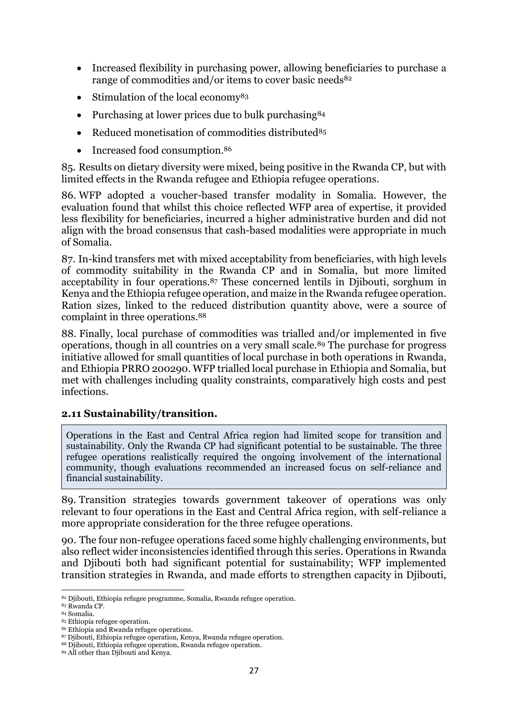- Increased flexibility in purchasing power, allowing beneficiaries to purchase a range of commodities and/or items to cover basic needs<sup>82</sup>
- $\bullet$  Stimulation of the local economy<sup>83</sup>
- Purchasing at lower prices due to bulk purchasing<sup>84</sup>
- Reduced monetisation of commodities distributed<sup>85</sup>
- Increased food consumption.<sup>86</sup>

85. Results on dietary diversity were mixed, being positive in the Rwanda CP, but with limited effects in the Rwanda refugee and Ethiopia refugee operations.

86. WFP adopted a voucher-based transfer modality in Somalia. However, the evaluation found that whilst this choice reflected WFP area of expertise, it provided less flexibility for beneficiaries, incurred a higher administrative burden and did not align with the broad consensus that cash-based modalities were appropriate in much of Somalia.

87. In-kind transfers met with mixed acceptability from beneficiaries, with high levels of commodity suitability in the Rwanda CP and in Somalia, but more limited acceptability in four operations.<sup>87</sup> These concerned lentils in Djibouti, sorghum in Kenya and the Ethiopia refugee operation, and maize in the Rwanda refugee operation. Ration sizes, linked to the reduced distribution quantity above, were a source of complaint in three operations.<sup>88</sup>

88. Finally, local purchase of commodities was trialled and/or implemented in five operations, though in all countries on a very small scale.<sup>89</sup> The purchase for progress initiative allowed for small quantities of local purchase in both operations in Rwanda, and Ethiopia PRRO 200290. WFP trialled local purchase in Ethiopia and Somalia, but met with challenges including quality constraints, comparatively high costs and pest infections.

#### **2.11 Sustainability/transition.**

Operations in the East and Central Africa region had limited scope for transition and sustainability. Only the Rwanda CP had significant potential to be sustainable. The three refugee operations realistically required the ongoing involvement of the international community, though evaluations recommended an increased focus on self-reliance and financial sustainability.

89. Transition strategies towards government takeover of operations was only relevant to four operations in the East and Central Africa region, with self-reliance a more appropriate consideration for the three refugee operations.

90. The four non-refugee operations faced some highly challenging environments, but also reflect wider inconsistencies identified through this series. Operations in Rwanda and Djibouti both had significant potential for sustainability; WFP implemented transition strategies in Rwanda, and made efforts to strengthen capacity in Djibouti,

**<sup>.</sup>** <sup>82</sup> Djibouti, Ethiopia refugee programme, Somalia, Rwanda refugee operation.

<sup>83</sup> Rwanda CP. <sup>84</sup> Somalia.

<sup>85</sup> Ethiopia refugee operation.

<sup>86</sup> Ethiopia and Rwanda refugee operations.

<sup>87</sup> Djibouti, Ethiopia refugee operation, Kenya, Rwanda refugee operation.

<sup>88</sup> Djibouti, Ethiopia refugee operation, Rwanda refugee operation.

<sup>89</sup> All other than Djibouti and Kenya.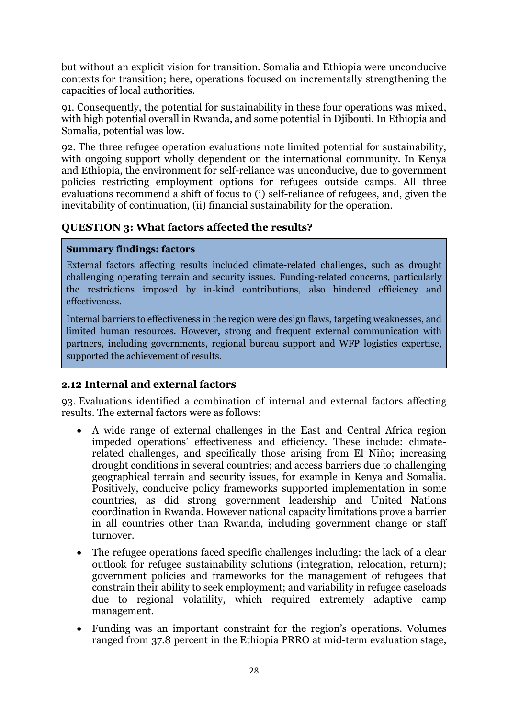but without an explicit vision for transition. Somalia and Ethiopia were unconducive contexts for transition; here, operations focused on incrementally strengthening the capacities of local authorities.

91. Consequently, the potential for sustainability in these four operations was mixed, with high potential overall in Rwanda, and some potential in Diibouti. In Ethiopia and Somalia, potential was low.

92. The three refugee operation evaluations note limited potential for sustainability, with ongoing support wholly dependent on the international community. In Kenya and Ethiopia, the environment for self-reliance was unconducive, due to government policies restricting employment options for refugees outside camps. All three evaluations recommend a shift of focus to (i) self-reliance of refugees, and, given the inevitability of continuation, (ii) financial sustainability for the operation.

### **QUESTION 3: What factors affected the results?**

#### <span id="page-29-0"></span>**Summary findings: factors**

External factors affecting results included climate-related challenges, such as drought challenging operating terrain and security issues. Funding-related concerns, particularly the restrictions imposed by in-kind contributions, also hindered efficiency and effectiveness.

Internal barriers to effectiveness in the region were design flaws, targeting weaknesses, and limited human resources. However, strong and frequent external communication with partners, including governments, regional bureau support and WFP logistics expertise, supported the achievement of results.

#### **2.12 Internal and external factors**

93. Evaluations identified a combination of internal and external factors affecting results. The external factors were as follows:

- A wide range of external challenges in the East and Central Africa region impeded operations' effectiveness and efficiency. These include: climaterelated challenges, and specifically those arising from El Niño; increasing drought conditions in several countries; and access barriers due to challenging geographical terrain and security issues, for example in Kenya and Somalia. Positively, conducive policy frameworks supported implementation in some countries, as did strong government leadership and United Nations coordination in Rwanda. However national capacity limitations prove a barrier in all countries other than Rwanda, including government change or staff turnover.
- The refugee operations faced specific challenges including: the lack of a clear outlook for refugee sustainability solutions (integration, relocation, return); government policies and frameworks for the management of refugees that constrain their ability to seek employment; and variability in refugee caseloads due to regional volatility, which required extremely adaptive camp management.
- Funding was an important constraint for the region's operations. Volumes ranged from 37.8 percent in the Ethiopia PRRO at mid-term evaluation stage,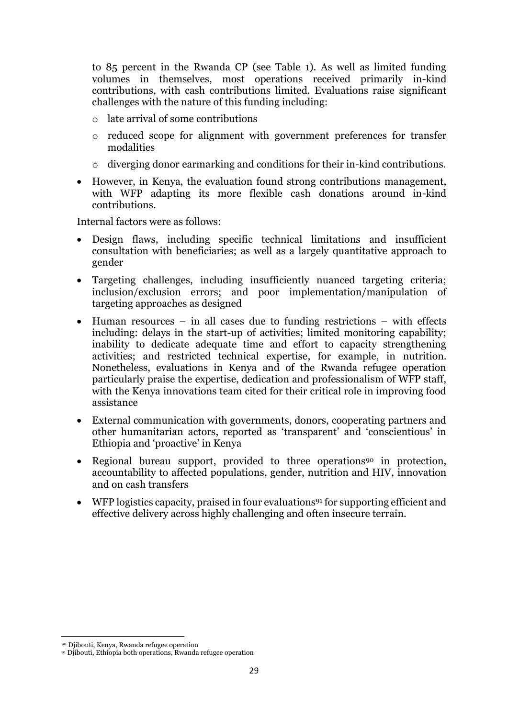to 85 percent in the Rwanda CP (see Table 1). As well as limited funding volumes in themselves, most operations received primarily in-kind contributions, with cash contributions limited. Evaluations raise significant challenges with the nature of this funding including:

- $\circ$  late arrival of some contributions
- o reduced scope for alignment with government preferences for transfer modalities
- o diverging donor earmarking and conditions for their in-kind contributions.
- However, in Kenya, the evaluation found strong contributions management, with WFP adapting its more flexible cash donations around in-kind contributions.

Internal factors were as follows:

- Design flaws, including specific technical limitations and insufficient consultation with beneficiaries; as well as a largely quantitative approach to gender
- Targeting challenges, including insufficiently nuanced targeting criteria; inclusion/exclusion errors; and poor implementation/manipulation of targeting approaches as designed
- $\bullet$  Human resources in all cases due to funding restrictions with effects including: delays in the start-up of activities; limited monitoring capability; inability to dedicate adequate time and effort to capacity strengthening activities; and restricted technical expertise, for example, in nutrition. Nonetheless, evaluations in Kenya and of the Rwanda refugee operation particularly praise the expertise, dedication and professionalism of WFP staff, with the Kenya innovations team cited for their critical role in improving food assistance
- External communication with governments, donors, cooperating partners and other humanitarian actors, reported as 'transparent' and 'conscientious' in Ethiopia and 'proactive' in Kenya
- Regional bureau support, provided to three operations<sup>90</sup> in protection, accountability to affected populations, gender, nutrition and HIV, innovation and on cash transfers
- $\bullet$  WFP logistics capacity, praised in four evaluations<sup>91</sup> for supporting efficient and effective delivery across highly challenging and often insecure terrain.

**<sup>.</sup>** <sup>90</sup> Djibouti, Kenya, Rwanda refugee operation

<sup>91</sup> Djibouti, Ethiopia both operations, Rwanda refugee operation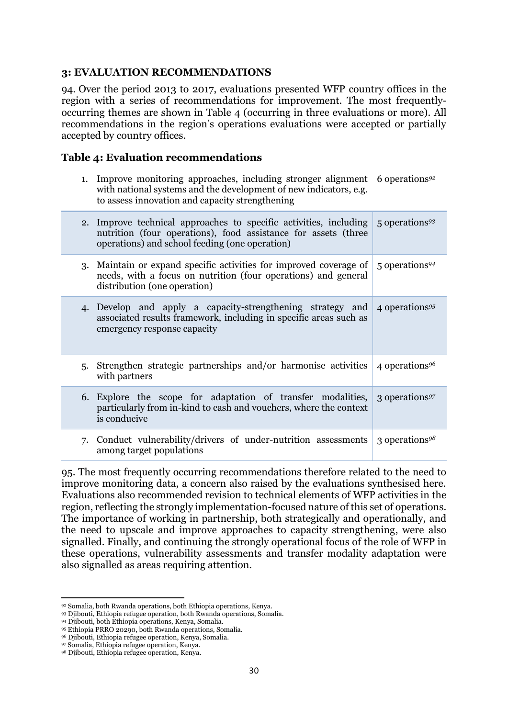#### <span id="page-31-0"></span>**3: EVALUATION RECOMMENDATIONS**

94. Over the period 2013 to 2017, evaluations presented WFP country offices in the region with a series of recommendations for improvement. The most frequentlyoccurring themes are shown in Table 4 (occurring in three evaluations or more). All recommendations in the region's operations evaluations were accepted or partially accepted by country offices.

### **Table 4: Evaluation recommendations**

1. Improve monitoring approaches, including stronger alignment 6 operations*<sup>92</sup>* with national systems and the development of new indicators, e.g. to assess innovation and capacity strengthening

|    | 2. Improve technical approaches to specific activities, including<br>nutrition (four operations), food assistance for assets (three<br>operations) and school feeding (one operation) | 5 operations <sup>93</sup>   |
|----|---------------------------------------------------------------------------------------------------------------------------------------------------------------------------------------|------------------------------|
|    | 3. Maintain or expand specific activities for improved coverage of<br>needs, with a focus on nutrition (four operations) and general<br>distribution (one operation)                  | $5$ operations <sup>94</sup> |
|    | 4. Develop and apply a capacity-strengthening strategy and<br>associated results framework, including in specific areas such as<br>emergency response capacity                        | 4 operations <sup>95</sup>   |
| 5. | Strengthen strategic partnerships and/or harmonise activities<br>with partners                                                                                                        | 4 operations <sup>96</sup>   |
|    | 6. Explore the scope for adaptation of transfer modalities,<br>particularly from in-kind to cash and vouchers, where the context<br>is conducive                                      | 3 operations <sup>97</sup>   |
| 7. | Conduct vulnerability/drivers of under-nutrition assessments<br>among target populations                                                                                              | 3 operations <sup>98</sup>   |

95. The most frequently occurring recommendations therefore related to the need to improve monitoring data, a concern also raised by the evaluations synthesised here. Evaluations also recommended revision to technical elements of WFP activities in the region, reflecting the strongly implementation-focused nature of this set of operations. The importance of working in partnership, both strategically and operationally, and the need to upscale and improve approaches to capacity strengthening, were also signalled. Finally, and continuing the strongly operational focus of the role of WFP in these operations, vulnerability assessments and transfer modality adaptation were also signalled as areas requiring attention.

**.** 

<sup>92</sup> Somalia, both Rwanda operations, both Ethiopia operations, Kenya.

<sup>93</sup> Djibouti, Ethiopia refugee operation, both Rwanda operations, Somalia.

<sup>94</sup> Djibouti, both Ethiopia operations, Kenya, Somalia.

<sup>95</sup> Ethiopia PRRO 20290, both Rwanda operations, Somalia.

<sup>96</sup> Djibouti, Ethiopia refugee operation, Kenya, Somalia.

<sup>97</sup> Somalia, Ethiopia refugee operation, Kenya.

<sup>98</sup> Djibouti, Ethiopia refugee operation, Kenya.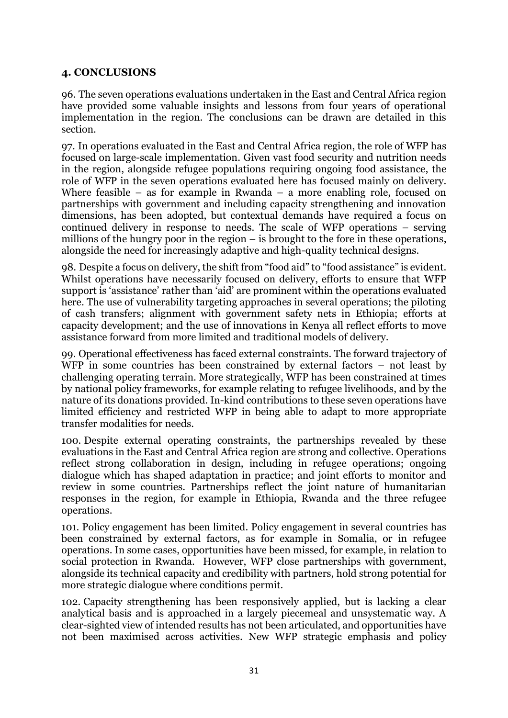### <span id="page-32-0"></span>**4. CONCLUSIONS**

96. The seven operations evaluations undertaken in the East and Central Africa region have provided some valuable insights and lessons from four years of operational implementation in the region. The conclusions can be drawn are detailed in this section.

97. In operations evaluated in the East and Central Africa region, the role of WFP has focused on large-scale implementation. Given vast food security and nutrition needs in the region, alongside refugee populations requiring ongoing food assistance, the role of WFP in the seven operations evaluated here has focused mainly on delivery. Where feasible – as for example in Rwanda – a more enabling role, focused on partnerships with government and including capacity strengthening and innovation dimensions, has been adopted, but contextual demands have required a focus on continued delivery in response to needs. The scale of WFP operations – serving millions of the hungry poor in the region – is brought to the fore in these operations, alongside the need for increasingly adaptive and high-quality technical designs.

98. Despite a focus on delivery, the shift from "food aid" to "food assistance" is evident. Whilst operations have necessarily focused on delivery, efforts to ensure that WFP support is 'assistance' rather than 'aid' are prominent within the operations evaluated here. The use of vulnerability targeting approaches in several operations; the piloting of cash transfers; alignment with government safety nets in Ethiopia; efforts at capacity development; and the use of innovations in Kenya all reflect efforts to move assistance forward from more limited and traditional models of delivery.

99. Operational effectiveness has faced external constraints. The forward trajectory of WFP in some countries has been constrained by external factors – not least by challenging operating terrain. More strategically, WFP has been constrained at times by national policy frameworks, for example relating to refugee livelihoods, and by the nature of its donations provided. In-kind contributions to these seven operations have limited efficiency and restricted WFP in being able to adapt to more appropriate transfer modalities for needs.

100. Despite external operating constraints, the partnerships revealed by these evaluations in the East and Central Africa region are strong and collective. Operations reflect strong collaboration in design, including in refugee operations; ongoing dialogue which has shaped adaptation in practice; and joint efforts to monitor and review in some countries. Partnerships reflect the joint nature of humanitarian responses in the region, for example in Ethiopia, Rwanda and the three refugee operations.

101. Policy engagement has been limited. Policy engagement in several countries has been constrained by external factors, as for example in Somalia, or in refugee operations. In some cases, opportunities have been missed, for example, in relation to social protection in Rwanda. However, WFP close partnerships with government, alongside its technical capacity and credibility with partners, hold strong potential for more strategic dialogue where conditions permit.

102. Capacity strengthening has been responsively applied, but is lacking a clear analytical basis and is approached in a largely piecemeal and unsystematic way. A clear-sighted view of intended results has not been articulated, and opportunities have not been maximised across activities. New WFP strategic emphasis and policy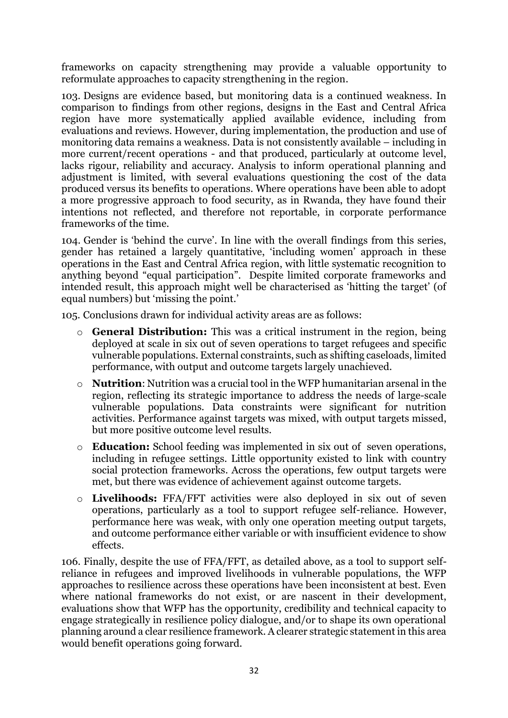frameworks on capacity strengthening may provide a valuable opportunity to reformulate approaches to capacity strengthening in the region.

103. Designs are evidence based, but monitoring data is a continued weakness. In comparison to findings from other regions, designs in the East and Central Africa region have more systematically applied available evidence, including from evaluations and reviews. However, during implementation, the production and use of monitoring data remains a weakness. Data is not consistently available – including in more current/recent operations - and that produced, particularly at outcome level, lacks rigour, reliability and accuracy. Analysis to inform operational planning and adjustment is limited, with several evaluations questioning the cost of the data produced versus its benefits to operations. Where operations have been able to adopt a more progressive approach to food security, as in Rwanda, they have found their intentions not reflected, and therefore not reportable, in corporate performance frameworks of the time.

104. Gender is 'behind the curve'. In line with the overall findings from this series, gender has retained a largely quantitative, 'including women' approach in these operations in the East and Central Africa region, with little systematic recognition to anything beyond "equal participation". Despite limited corporate frameworks and intended result, this approach might well be characterised as 'hitting the target' (of equal numbers) but 'missing the point.'

105. Conclusions drawn for individual activity areas are as follows:

- o **General Distribution:** This was a critical instrument in the region, being deployed at scale in six out of seven operations to target refugees and specific vulnerable populations. External constraints, such as shifting caseloads, limited performance, with output and outcome targets largely unachieved.
- o **Nutrition**: Nutrition was a crucial tool in the WFP humanitarian arsenal in the region, reflecting its strategic importance to address the needs of large-scale vulnerable populations. Data constraints were significant for nutrition activities. Performance against targets was mixed, with output targets missed, but more positive outcome level results.
- o **Education:** School feeding was implemented in six out of seven operations, including in refugee settings. Little opportunity existed to link with country social protection frameworks. Across the operations, few output targets were met, but there was evidence of achievement against outcome targets.
- o **Livelihoods:** FFA/FFT activities were also deployed in six out of seven operations, particularly as a tool to support refugee self-reliance. However, performance here was weak, with only one operation meeting output targets, and outcome performance either variable or with insufficient evidence to show effects.

106. Finally, despite the use of FFA/FFT, as detailed above, as a tool to support selfreliance in refugees and improved livelihoods in vulnerable populations, the WFP approaches to resilience across these operations have been inconsistent at best. Even where national frameworks do not exist, or are nascent in their development, evaluations show that WFP has the opportunity, credibility and technical capacity to engage strategically in resilience policy dialogue, and/or to shape its own operational planning around a clear resilience framework. A clearer strategic statement in this area would benefit operations going forward.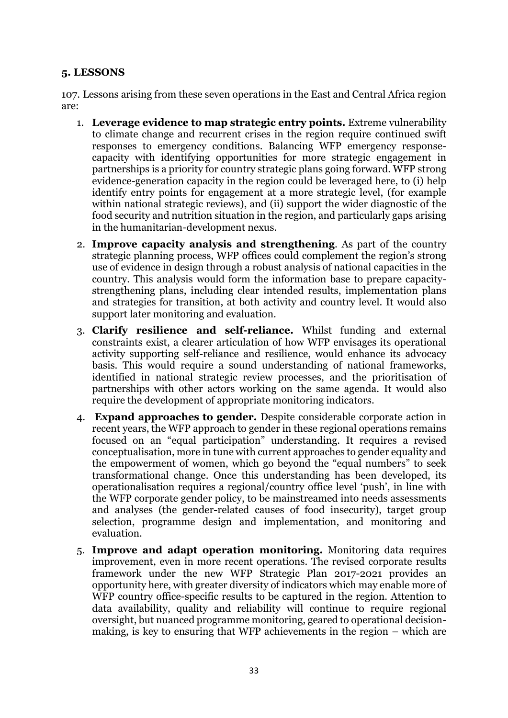## <span id="page-34-0"></span>**5. LESSONS**

107. Lessons arising from these seven operations in the East and Central Africa region are:

- 1. **Leverage evidence to map strategic entry points.** Extreme vulnerability to climate change and recurrent crises in the region require continued swift responses to emergency conditions. Balancing WFP emergency responsecapacity with identifying opportunities for more strategic engagement in partnerships is a priority for country strategic plans going forward. WFP strong evidence-generation capacity in the region could be leveraged here, to (i) help identify entry points for engagement at a more strategic level, (for example within national strategic reviews), and (ii) support the wider diagnostic of the food security and nutrition situation in the region, and particularly gaps arising in the humanitarian-development nexus.
- 2. **Improve capacity analysis and strengthening**. As part of the country strategic planning process, WFP offices could complement the region's strong use of evidence in design through a robust analysis of national capacities in the country. This analysis would form the information base to prepare capacitystrengthening plans, including clear intended results, implementation plans and strategies for transition, at both activity and country level. It would also support later monitoring and evaluation.
- 3. **Clarify resilience and self-reliance.** Whilst funding and external constraints exist, a clearer articulation of how WFP envisages its operational activity supporting self-reliance and resilience, would enhance its advocacy basis. This would require a sound understanding of national frameworks, identified in national strategic review processes, and the prioritisation of partnerships with other actors working on the same agenda. It would also require the development of appropriate monitoring indicators.
- 4. **Expand approaches to gender.** Despite considerable corporate action in recent years, the WFP approach to gender in these regional operations remains focused on an "equal participation" understanding. It requires a revised conceptualisation, more in tune with current approaches to gender equality and the empowerment of women, which go beyond the "equal numbers" to seek transformational change. Once this understanding has been developed, its operationalisation requires a regional/country office level 'push', in line with the WFP corporate gender policy, to be mainstreamed into needs assessments and analyses (the gender-related causes of food insecurity), target group selection, programme design and implementation, and monitoring and evaluation.
- 5. **Improve and adapt operation monitoring.** Monitoring data requires improvement, even in more recent operations. The revised corporate results framework under the new WFP Strategic Plan 2017-2021 provides an opportunity here, with greater diversity of indicators which may enable more of WFP country office-specific results to be captured in the region. Attention to data availability, quality and reliability will continue to require regional oversight, but nuanced programme monitoring, geared to operational decisionmaking, is key to ensuring that WFP achievements in the region – which are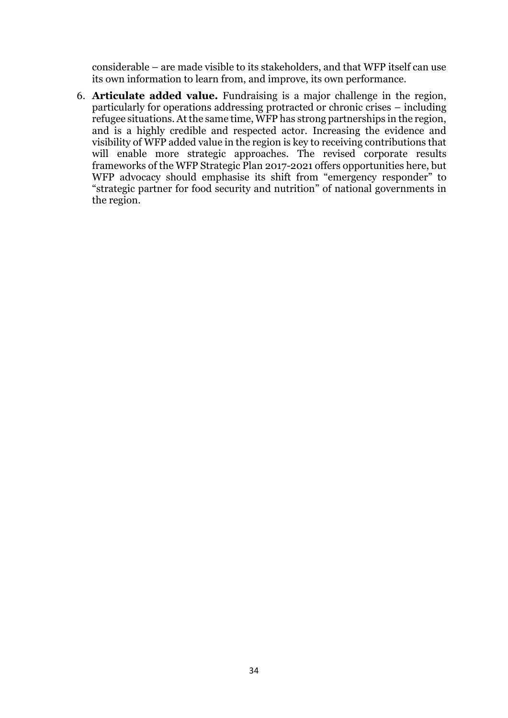considerable – are made visible to its stakeholders, and that WFP itself can use its own information to learn from, and improve, its own performance.

6. **Articulate added value.** Fundraising is a major challenge in the region, particularly for operations addressing protracted or chronic crises – including refugee situations. At the same time, WFP has strong partnerships in the region, and is a highly credible and respected actor. Increasing the evidence and visibility of WFP added value in the region is key to receiving contributions that will enable more strategic approaches. The revised corporate results frameworks of the WFP Strategic Plan 2017-2021 offers opportunities here, but WFP advocacy should emphasise its shift from "emergency responder" to "strategic partner for food security and nutrition" of national governments in the region.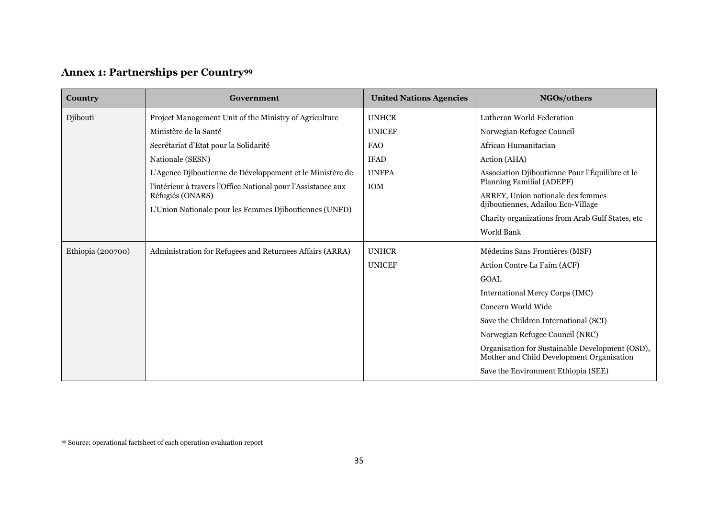# **Annex 1: Partnerships per Country<sup>99</sup>**

| Country           | Government                                                    | <b>United Nations Agencies</b> | NGOs/others                                                                                  |  |
|-------------------|---------------------------------------------------------------|--------------------------------|----------------------------------------------------------------------------------------------|--|
| Djibouti          | Project Management Unit of the Ministry of Agriculture        | <b>UNHCR</b>                   | Lutheran World Federation                                                                    |  |
|                   | Ministère de la Santé                                         | <b>UNICEF</b>                  | Norwegian Refugee Council                                                                    |  |
|                   | Secrétariat d'Etat pour la Solidarité                         | <b>FAO</b>                     | African Humanitarian                                                                         |  |
|                   | Nationale (SESN)                                              | <b>IFAD</b>                    | Action (AHA)                                                                                 |  |
|                   | L'Agence Djiboutienne de Développement et le Ministère de     | <b>UNFPA</b>                   | Association Djiboutienne Pour l'Équilibre et le                                              |  |
|                   | l'intérieur à travers l'Office National pour l'Assistance aux | <b>IOM</b>                     | Planning Familial (ADEPF)                                                                    |  |
|                   | Réfugiés (ONARS)                                              |                                | ARREY, Union nationale des femmes<br>diiboutiennes, Adailou Eco-Village                      |  |
|                   | L'Union Nationale pour les Femmes Djiboutiennes (UNFD)        |                                | Charity organizations from Arab Gulf States, etc                                             |  |
|                   |                                                               |                                | World Bank                                                                                   |  |
| Ethiopia (200700) | Administration for Refugees and Returnees Affairs (ARRA)      | <b>UNHCR</b>                   | Médecins Sans Frontières (MSF)                                                               |  |
|                   |                                                               | <b>UNICEF</b>                  | Action Contre La Faim (ACF)                                                                  |  |
|                   |                                                               |                                | <b>GOAL</b>                                                                                  |  |
|                   |                                                               |                                | <b>International Mercy Corps (IMC)</b>                                                       |  |
|                   |                                                               |                                | Concern World Wide                                                                           |  |
|                   |                                                               |                                | Save the Children International (SCI)                                                        |  |
|                   |                                                               |                                | Norwegian Refugee Council (NRC)                                                              |  |
|                   |                                                               |                                | Organisation for Sustainable Development (OSD),<br>Mother and Child Development Organisation |  |
|                   |                                                               |                                | Save the Environment Ethiopia (SEE)                                                          |  |

<span id="page-36-0"></span> $\overline{a}$ 

<sup>99</sup> Source: operational factsheet of each operation evaluation report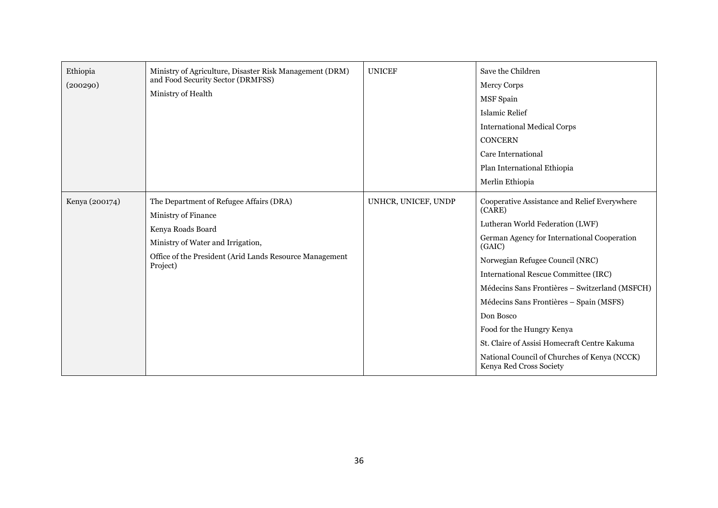| Ethiopia<br>(200290) | Ministry of Agriculture, Disaster Risk Management (DRM)<br>and Food Security Sector (DRMFSS)<br>Ministry of Health                                                                              | <b>UNICEF</b>       | Save the Children<br><b>Mercy Corps</b><br><b>MSF</b> Spain<br>Islamic Relief<br><b>International Medical Corps</b><br><b>CONCERN</b><br>Care International<br>Plan International Ethiopia<br>Merlin Ethiopia                                                                                                                                                                                                                                                                                   |
|----------------------|-------------------------------------------------------------------------------------------------------------------------------------------------------------------------------------------------|---------------------|-------------------------------------------------------------------------------------------------------------------------------------------------------------------------------------------------------------------------------------------------------------------------------------------------------------------------------------------------------------------------------------------------------------------------------------------------------------------------------------------------|
| Kenya (200174)       | The Department of Refugee Affairs (DRA)<br>Ministry of Finance<br>Kenya Roads Board<br>Ministry of Water and Irrigation,<br>Office of the President (Arid Lands Resource Management<br>Project) | UNHCR, UNICEF, UNDP | Cooperative Assistance and Relief Everywhere<br>(CARE)<br>Lutheran World Federation (LWF)<br>German Agency for International Cooperation<br>(GAIC)<br>Norwegian Refugee Council (NRC)<br>International Rescue Committee (IRC)<br>Médecins Sans Frontières - Switzerland (MSFCH)<br>Médecins Sans Frontières – Spain (MSFS)<br>Don Bosco<br>Food for the Hungry Kenya<br>St. Claire of Assisi Homecraft Centre Kakuma<br>National Council of Churches of Kenya (NCCK)<br>Kenya Red Cross Society |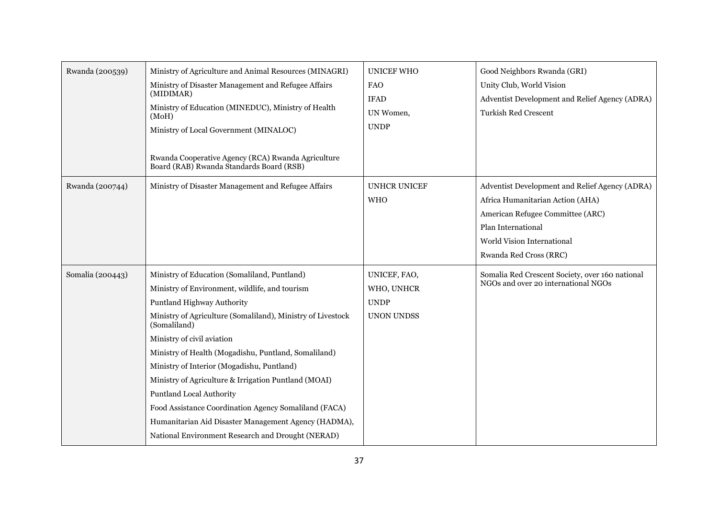| Rwanda (200539)  | Ministry of Agriculture and Animal Resources (MINAGRI)<br>Ministry of Disaster Management and Refugee Affairs<br>(MIDIMAR)<br>Ministry of Education (MINEDUC), Ministry of Health<br>(MoH)<br>Ministry of Local Government (MINALOC)<br>Rwanda Cooperative Agency (RCA) Rwanda Agriculture<br>Board (RAB) Rwanda Standards Board (RSB)                                                                                                                                                                                                                                                                           | <b>UNICEF WHO</b><br><b>FAO</b><br><b>IFAD</b><br>UN Women,<br><b>UNDP</b> | Good Neighbors Rwanda (GRI)<br>Unity Club, World Vision<br>Adventist Development and Relief Agency (ADRA)<br><b>Turkish Red Crescent</b>                                                             |
|------------------|------------------------------------------------------------------------------------------------------------------------------------------------------------------------------------------------------------------------------------------------------------------------------------------------------------------------------------------------------------------------------------------------------------------------------------------------------------------------------------------------------------------------------------------------------------------------------------------------------------------|----------------------------------------------------------------------------|------------------------------------------------------------------------------------------------------------------------------------------------------------------------------------------------------|
| Rwanda (200744)  | Ministry of Disaster Management and Refugee Affairs                                                                                                                                                                                                                                                                                                                                                                                                                                                                                                                                                              | <b>UNHCR UNICEF</b><br><b>WHO</b>                                          | Adventist Development and Relief Agency (ADRA)<br>Africa Humanitarian Action (AHA)<br>American Refugee Committee (ARC)<br>Plan International<br>World Vision International<br>Rwanda Red Cross (RRC) |
| Somalia (200443) | Ministry of Education (Somaliland, Puntland)<br>Ministry of Environment, wildlife, and tourism<br>Puntland Highway Authority<br>Ministry of Agriculture (Somaliland), Ministry of Livestock<br>(Somaliland)<br>Ministry of civil aviation<br>Ministry of Health (Mogadishu, Puntland, Somaliland)<br>Ministry of Interior (Mogadishu, Puntland)<br>Ministry of Agriculture & Irrigation Puntland (MOAI)<br><b>Puntland Local Authority</b><br>Food Assistance Coordination Agency Somaliland (FACA)<br>Humanitarian Aid Disaster Management Agency (HADMA),<br>National Environment Research and Drought (NERAD) | UNICEF, FAO,<br>WHO, UNHCR<br><b>UNDP</b><br>UNON UNDSS                    | Somalia Red Crescent Society, over 160 national<br>NGOs and over 20 international NGOs                                                                                                               |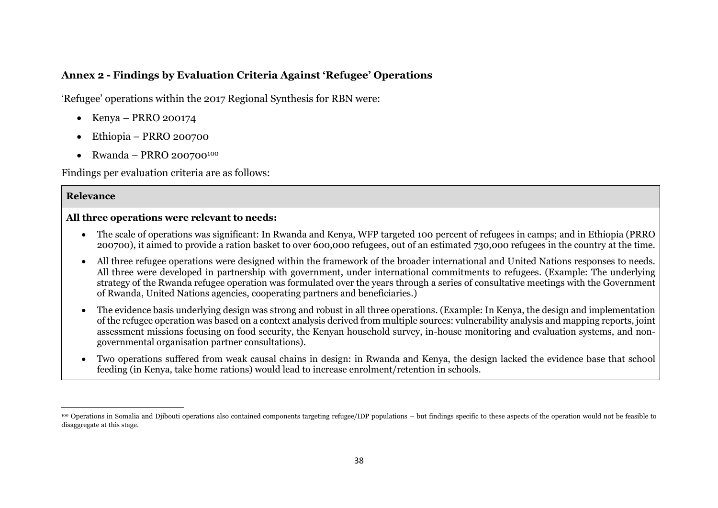## **Annex 2 - Findings by Evaluation Criteria Against 'Refugee' Operations**

'Refugee' operations within the 2017 Regional Synthesis for RBN were:

- Kenya PRRO 200174
- Ethiopia PRRO 200700
- Rwanda PRRO 200700<sup>100</sup>

Findings per evaluation criteria are as follows:

#### **Relevance**

 $\overline{a}$ 

#### **All three operations were relevant to needs:**

- The scale of operations was significant: In Rwanda and Kenya, WFP targeted 100 percent of refugees in camps; and in Ethiopia (PRRO 200700), it aimed to provide a ration basket to over 600,000 refugees, out of an estimated 730,000 refugees in the country at the time.
- All three refugee operations were designed within the framework of the broader international and United Nations responses to needs. All three were developed in partnership with government, under international commitments to refugees. (Example: The underlying strategy of the Rwanda refugee operation was formulated over the years through a series of consultative meetings with the Government of Rwanda, United Nations agencies, cooperating partners and beneficiaries.)
- The evidence basis underlying design was strong and robust in all three operations. (Example: In Kenya, the design and implementation of the refugee operation was based on a context analysis derived from multiple sources: vulnerability analysis and mapping reports, joint assessment missions focusing on food security, the Kenyan household survey, in-house monitoring and evaluation systems, and nongovernmental organisation partner consultations).
- Two operations suffered from weak causal chains in design: in Rwanda and Kenya, the design lacked the evidence base that school feeding (in Kenya, take home rations) would lead to increase enrolment/retention in schools.

<sup>100</sup> Operations in Somalia and Djibouti operations also contained components targeting refugee/IDP populations – but findings specific to these aspects of the operation would not be feasible to disaggregate at this stage.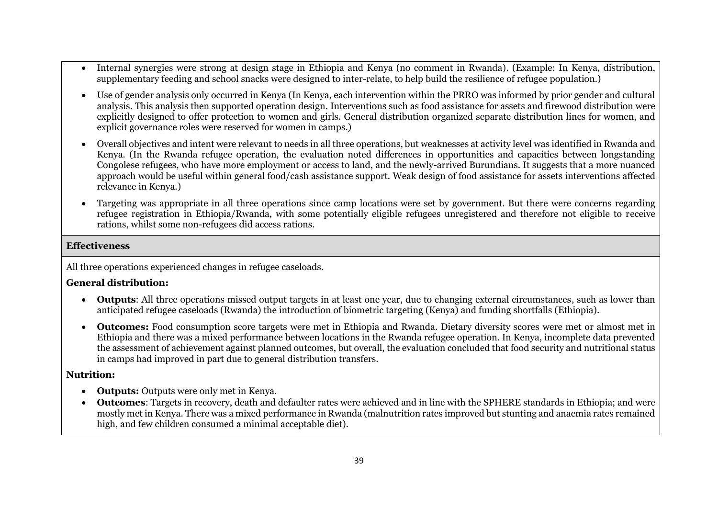- Internal synergies were strong at design stage in Ethiopia and Kenya (no comment in Rwanda). (Example: In Kenya, distribution, supplementary feeding and school snacks were designed to inter-relate, to help build the resilience of refugee population.)
- Use of gender analysis only occurred in Kenya (In Kenya, each intervention within the PRRO was informed by prior gender and cultural analysis. This analysis then supported operation design. Interventions such as food assistance for assets and firewood distribution were explicitly designed to offer protection to women and girls. General distribution organized separate distribution lines for women, and explicit governance roles were reserved for women in camps.)
- Overall objectives and intent were relevant to needs in all three operations, but weaknesses at activity level was identified in Rwanda and Kenya. (In the Rwanda refugee operation, the evaluation noted differences in opportunities and capacities between longstanding Congolese refugees, who have more employment or access to land, and the newly-arrived Burundians. It suggests that a more nuanced approach would be useful within general food/cash assistance support. Weak design of food assistance for assets interventions affected relevance in Kenya.)
- Targeting was appropriate in all three operations since camp locations were set by government. But there were concerns regarding refugee registration in Ethiopia/Rwanda, with some potentially eligible refugees unregistered and therefore not eligible to receive rations, whilst some non-refugees did access rations.

#### **Effectiveness**

All three operations experienced changes in refugee caseloads.

#### **General distribution:**

- **Outputs**: All three operations missed output targets in at least one year, due to changing external circumstances, such as lower than anticipated refugee caseloads (Rwanda) the introduction of biometric targeting (Kenya) and funding shortfalls (Ethiopia).
- **Outcomes:** Food consumption score targets were met in Ethiopia and Rwanda. Dietary diversity scores were met or almost met in Ethiopia and there was a mixed performance between locations in the Rwanda refugee operation. In Kenya, incomplete data prevented the assessment of achievement against planned outcomes, but overall, the evaluation concluded that food security and nutritional status in camps had improved in part due to general distribution transfers.

#### **Nutrition:**

- **Outputs:** Outputs were only met in Kenya.
- **Outcomes**: Targets in recovery, death and defaulter rates were achieved and in line with the SPHERE standards in Ethiopia; and were mostly met in Kenya. There was a mixed performance in Rwanda (malnutrition rates improved but stunting and anaemia rates remained high, and few children consumed a minimal acceptable diet).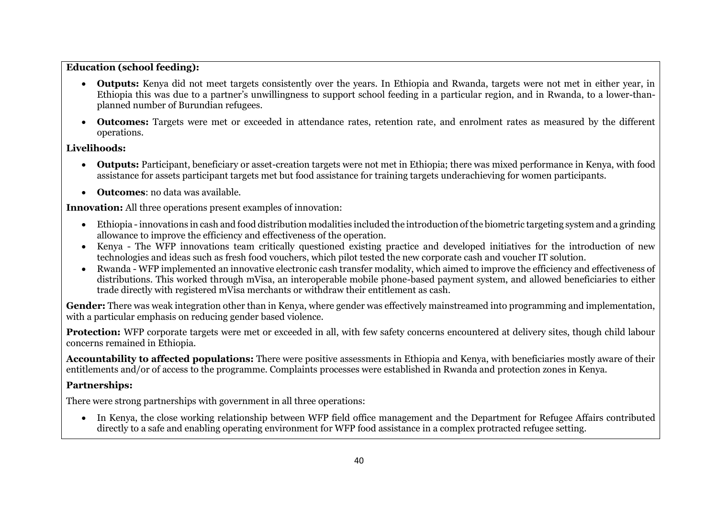#### **Education (school feeding):**

- **Outputs:** Kenya did not meet targets consistently over the years. In Ethiopia and Rwanda, targets were not met in either year, in Ethiopia this was due to a partner's unwillingness to support school feeding in a particular region, and in Rwanda, to a lower-thanplanned number of Burundian refugees.
- **Outcomes:** Targets were met or exceeded in attendance rates, retention rate, and enrolment rates as measured by the different operations.

#### **Livelihoods:**

- **Outputs:** Participant, beneficiary or asset-creation targets were not met in Ethiopia; there was mixed performance in Kenya, with food assistance for assets participant targets met but food assistance for training targets underachieving for women participants.
- **Outcomes**: no data was available.

**Innovation:** All three operations present examples of innovation:

- Ethiopia -innovations in cash and food distribution modalities included the introduction of the biometric targeting system and a grinding allowance to improve the efficiency and effectiveness of the operation.
- Kenya The WFP innovations team critically questioned existing practice and developed initiatives for the introduction of new technologies and ideas such as fresh food vouchers, which pilot tested the new corporate cash and voucher IT solution.
- Rwanda WFP implemented an innovative electronic cash transfer modality, which aimed to improve the efficiency and effectiveness of distributions. This worked through mVisa, an interoperable mobile phone-based payment system, and allowed beneficiaries to either trade directly with registered mVisa merchants or withdraw their entitlement as cash.

**Gender:** There was weak integration other than in Kenya, where gender was effectively mainstreamed into programming and implementation, with a particular emphasis on reducing gender based violence.

Protection: WFP corporate targets were met or exceeded in all, with few safety concerns encountered at delivery sites, though child labour concerns remained in Ethiopia.

**Accountability to affected populations:** There were positive assessments in Ethiopia and Kenya, with beneficiaries mostly aware of their entitlements and/or of access to the programme. Complaints processes were established in Rwanda and protection zones in Kenya.

## **Partnerships:**

There were strong partnerships with government in all three operations:

 In Kenya, the close working relationship between WFP field office management and the Department for Refugee Affairs contributed directly to a safe and enabling operating environment for WFP food assistance in a complex protracted refugee setting.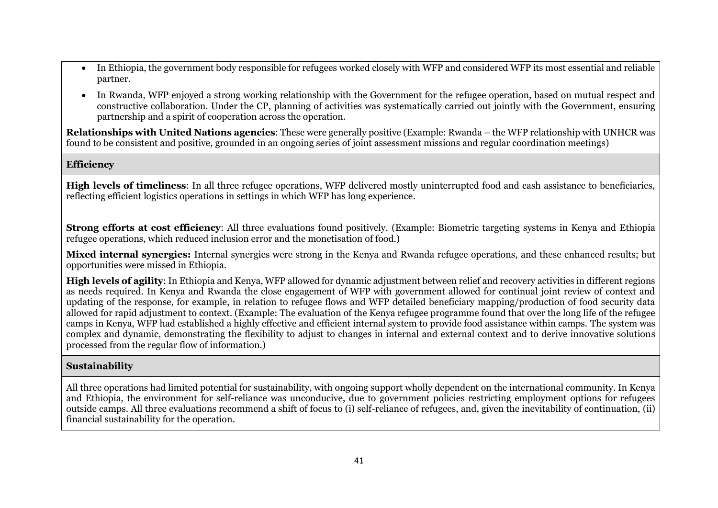- In Ethiopia, the government body responsible for refugees worked closely with WFP and considered WFP its most essential and reliable partner.
- In Rwanda, WFP enjoyed a strong working relationship with the Government for the refugee operation, based on mutual respect and constructive collaboration. Under the CP, planning of activities was systematically carried out jointly with the Government, ensuring partnership and a spirit of cooperation across the operation.

**Relationships with United Nations agencies**: These were generally positive (Example: Rwanda – the WFP relationship with UNHCR was found to be consistent and positive, grounded in an ongoing series of joint assessment missions and regular coordination meetings)

#### **Efficiency**

**High levels of timeliness**: In all three refugee operations, WFP delivered mostly uninterrupted food and cash assistance to beneficiaries, reflecting efficient logistics operations in settings in which WFP has long experience.

**Strong efforts at cost efficiency**: All three evaluations found positively. (Example: Biometric targeting systems in Kenya and Ethiopia refugee operations, which reduced inclusion error and the monetisation of food.)

**Mixed internal synergies:** Internal synergies were strong in the Kenya and Rwanda refugee operations, and these enhanced results; but opportunities were missed in Ethiopia.

**High levels of agility**: In Ethiopia and Kenya, WFP allowed for dynamic adjustment between relief and recovery activities in different regions as needs required. In Kenya and Rwanda the close engagement of WFP with government allowed for continual joint review of context and updating of the response, for example, in relation to refugee flows and WFP detailed beneficiary mapping/production of food security data allowed for rapid adjustment to context. (Example: The evaluation of the Kenya refugee programme found that over the long life of the refugee camps in Kenya, WFP had established a highly effective and efficient internal system to provide food assistance within camps. The system was complex and dynamic, demonstrating the flexibility to adjust to changes in internal and external context and to derive innovative solutions processed from the regular flow of information.)

#### **Sustainability**

All three operations had limited potential for sustainability, with ongoing support wholly dependent on the international community. In Kenya and Ethiopia, the environment for self-reliance was unconducive, due to government policies restricting employment options for refugees outside camps. All three evaluations recommend a shift of focus to (i) self-reliance of refugees, and, given the inevitability of continuation, (ii) financial sustainability for the operation.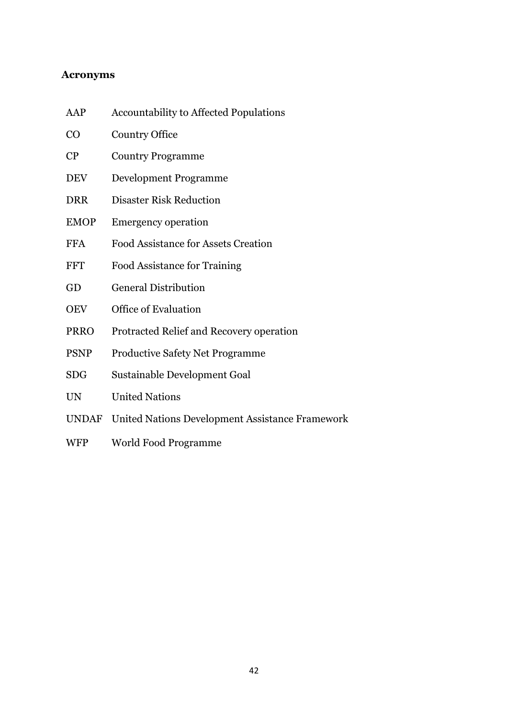### <span id="page-43-0"></span>**Acronyms**

- AAP Accountability to Affected Populations CO Country Office CP Country Programme DEV Development Programme DRR Disaster Risk Reduction EMOP Emergency operation FFA Food Assistance for Assets Creation FFT Food Assistance for Training GD General Distribution OEV Office of Evaluation PRRO Protracted Relief and Recovery operation PSNP Productive Safety Net Programme SDG Sustainable Development Goal UN United Nations UNDAF United Nations Development Assistance Framework
- WFP World Food Programme